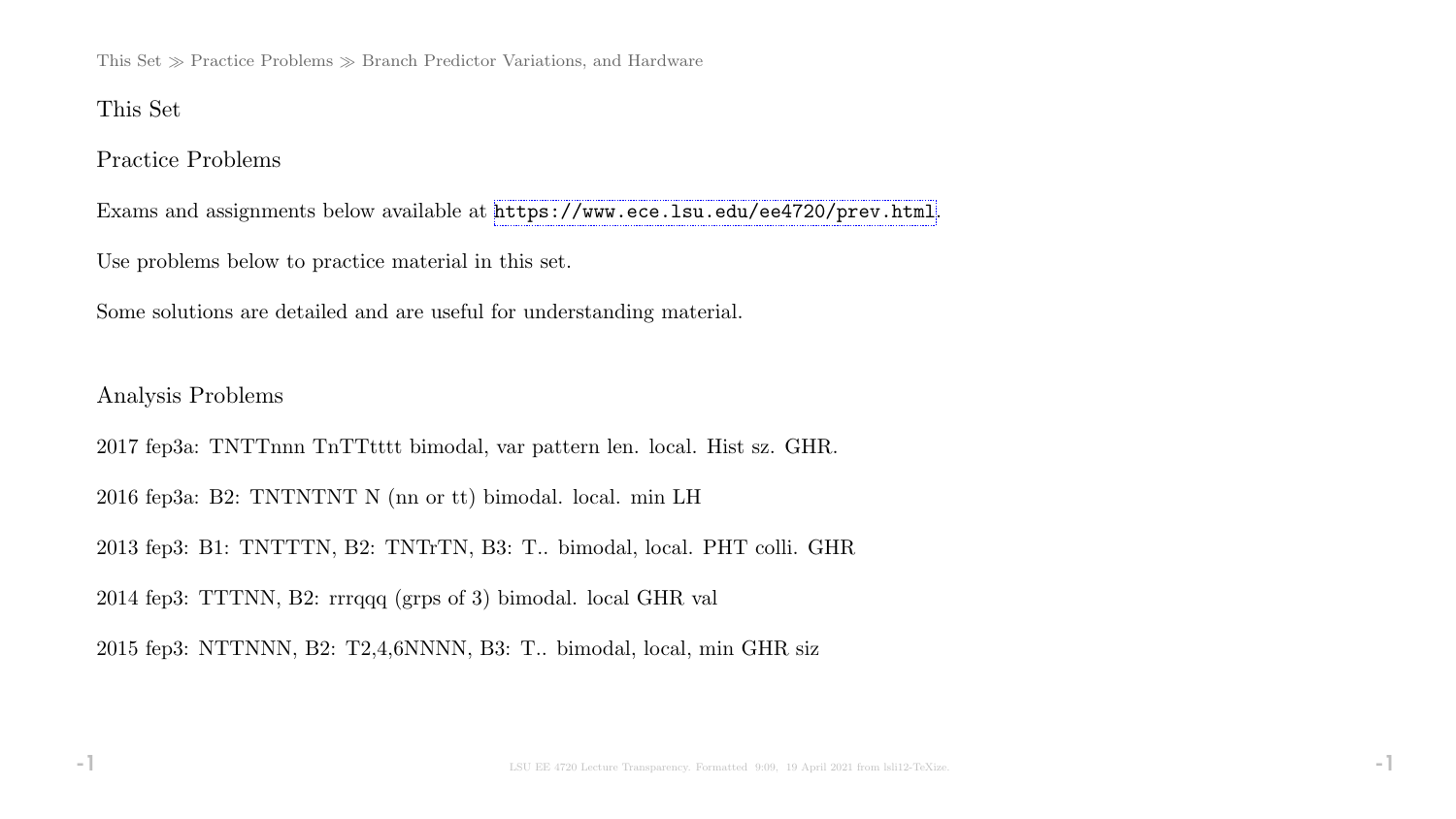This Set  $\gg$  Practice Problems  $\gg$  Branch Predictor Variations, and Hardware

#### This Set

### Practice Problems

Exams and assignments below available at <https://www.ece.lsu.edu/ee4720/prev.html>.

Use problems below to practice material in this set.

Some solutions are detailed and are useful for understanding material.

### Analysis Problems

2017 fep3a: TNTTnnn TnTTtttt bimodal, var pattern len. local. Hist sz. GHR. 2016 fep3a: B2: TNTNTNT N (nn or tt) bimodal. local. min LH 2013 fep3: B1: TNTTTN, B2: TNTrTN, B3: T.. bimodal, local. PHT colli. GHR

2014 fep3: TTTNN, B2: rrrqqq (grps of 3) bimodal. local GHR val

2015 fep3: NTTNNN, B2: T2,4,6NNNN, B3: T.. bimodal, local, min GHR siz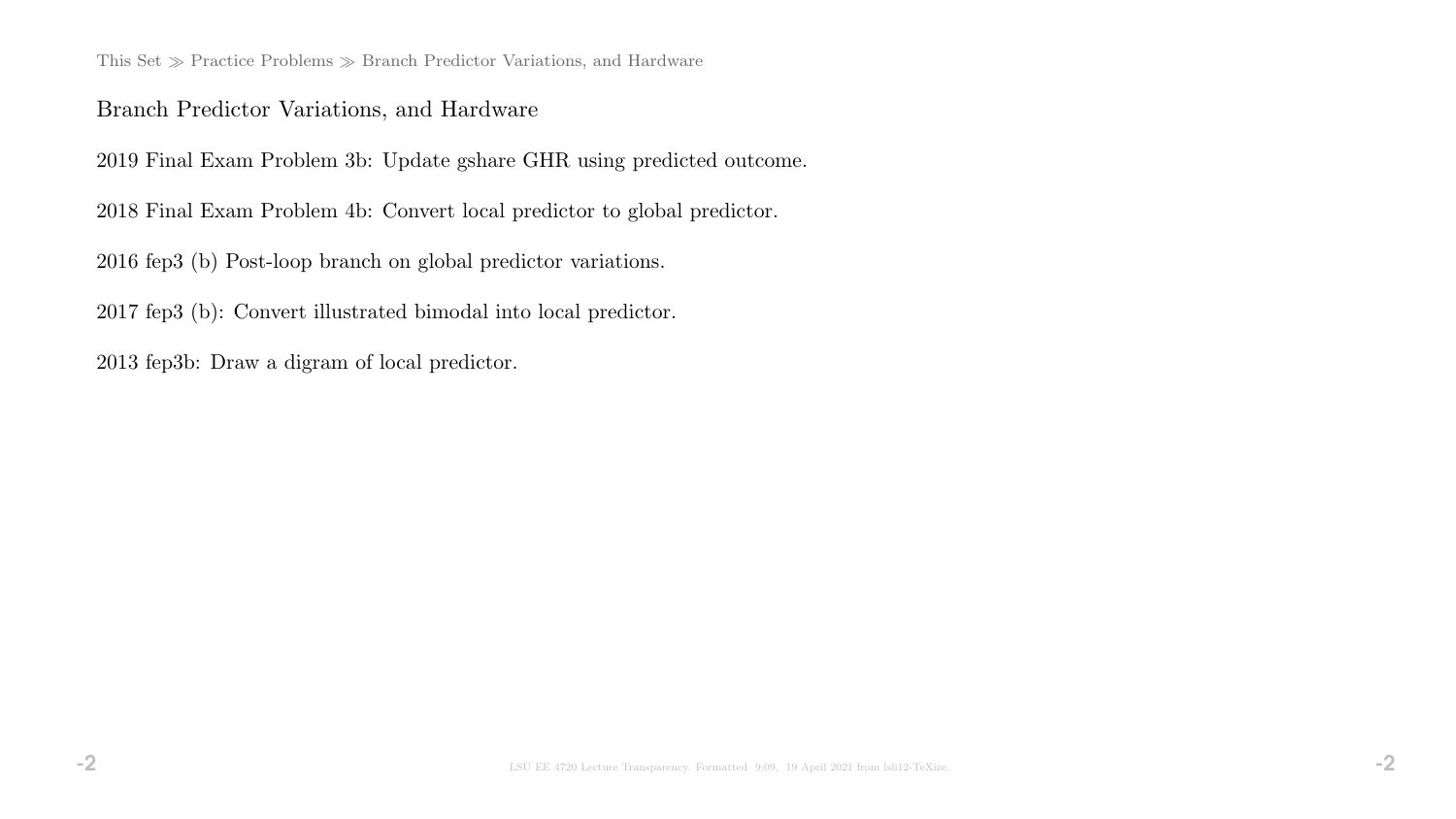This Set  $\gg$  Practice Problems  $\gg$  Branch Predictor Variations, and Hardware

### Branch Predictor Variations, and Hardware

2019 Final Exam Problem 3b: Update gshare GHR using predicted outcome.

2018 Final Exam Problem 4b: Convert local predictor to global predictor.

2016 fep3 (b) Post-loop branch on global predictor variations.

2017 fep3 (b): Convert illustrated bimodal into local predictor.

2013 fep3b: Draw a digram of local predictor.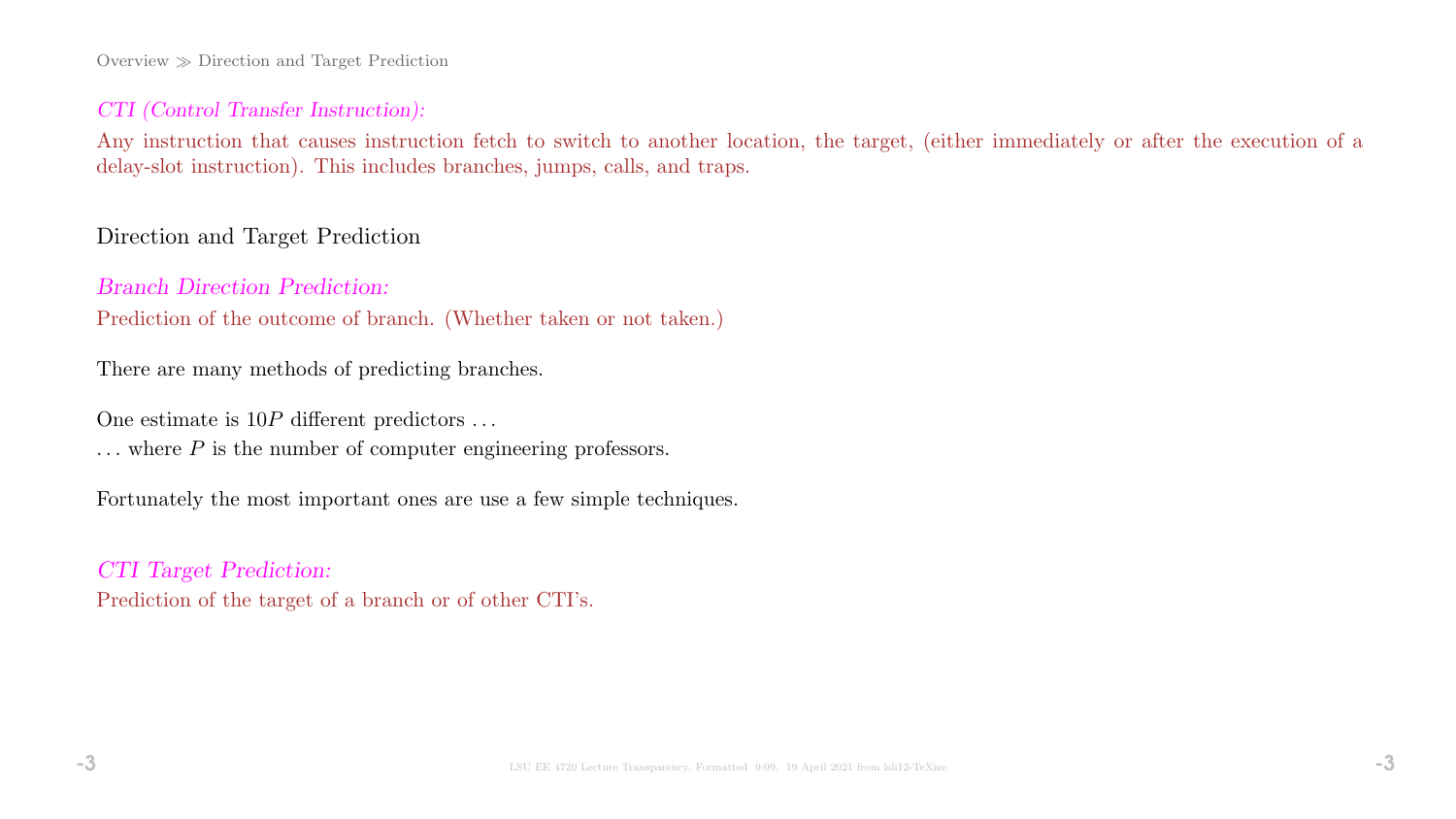Overview Direction and Target Prediction

#### CTI (Control Transfer Instruction):

Any instruction that causes instruction fetch to switch to another location, the target, (either immediately or after the execution of a delay-slot instruction). This includes branches, jumps, calls, and traps.

## Direction and Target Prediction

### Branch Direction Prediction:

Prediction of the outcome of branch. (Whether taken or not taken.)

There are many methods of predicting branches.

One estimate is  $10P$  different predictors  $\dots$ 

 $\dots$  where  $P$  is the number of computer engineering professors.

Fortunately the most important ones are use a few simple techniques.

CTI Target Prediction: Prediction of the target of a branch or of other CTI's.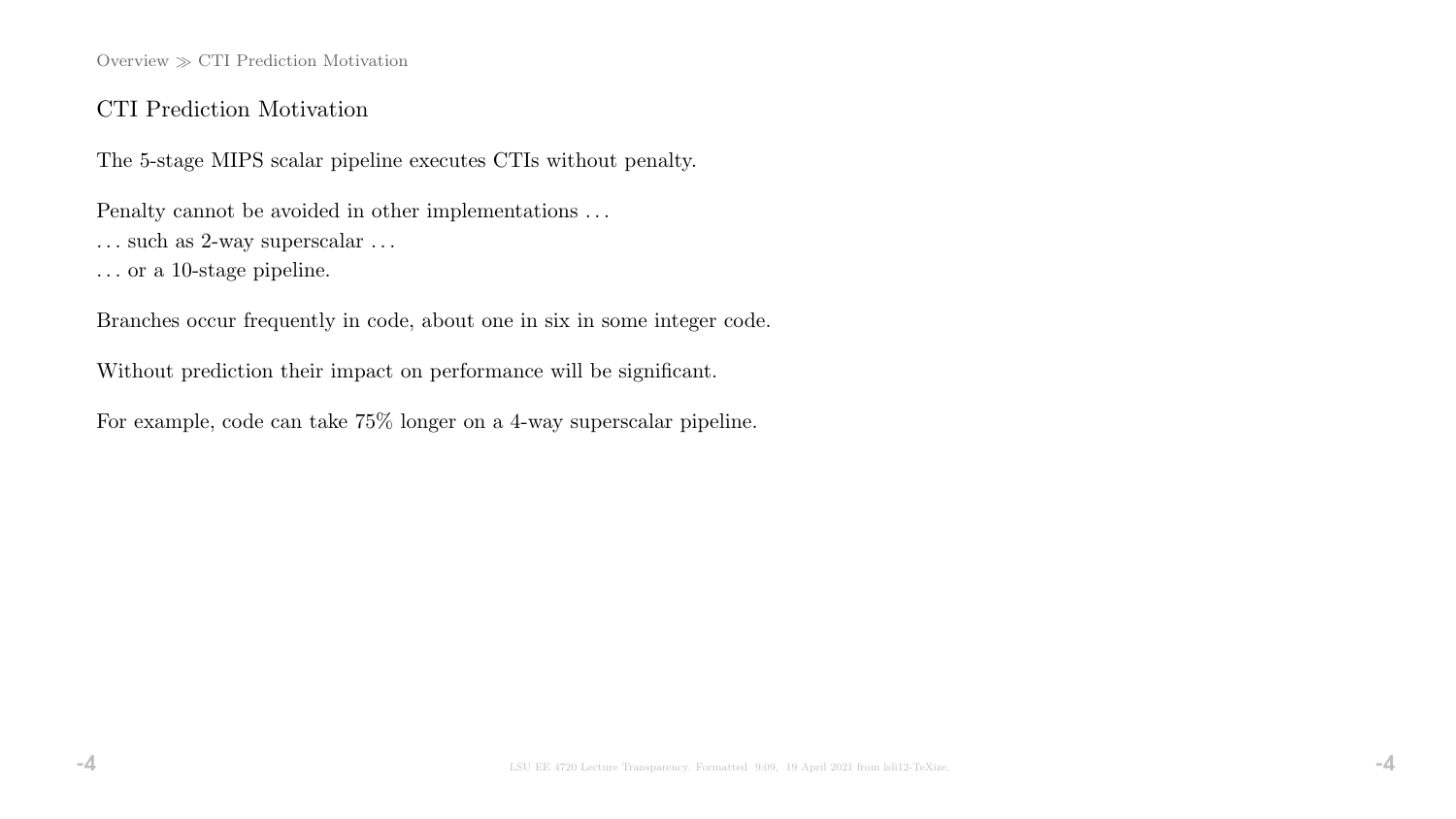Overview  $\gg$  CTI Prediction Motivation

#### CTI Prediction Motivation

The 5-stage MIPS scalar pipeline executes CTIs without penalty.

Penalty cannot be avoided in other implementations ...

 $\ldots$  such as 2-way superscalar  $\ldots$ 

. . . or a 10-stage pipeline.

Branches occur frequently in code, about one in six in some integer code.

Without prediction their impact on performance will be significant.

For example, code can take 75% longer on a 4-way superscalar pipeline.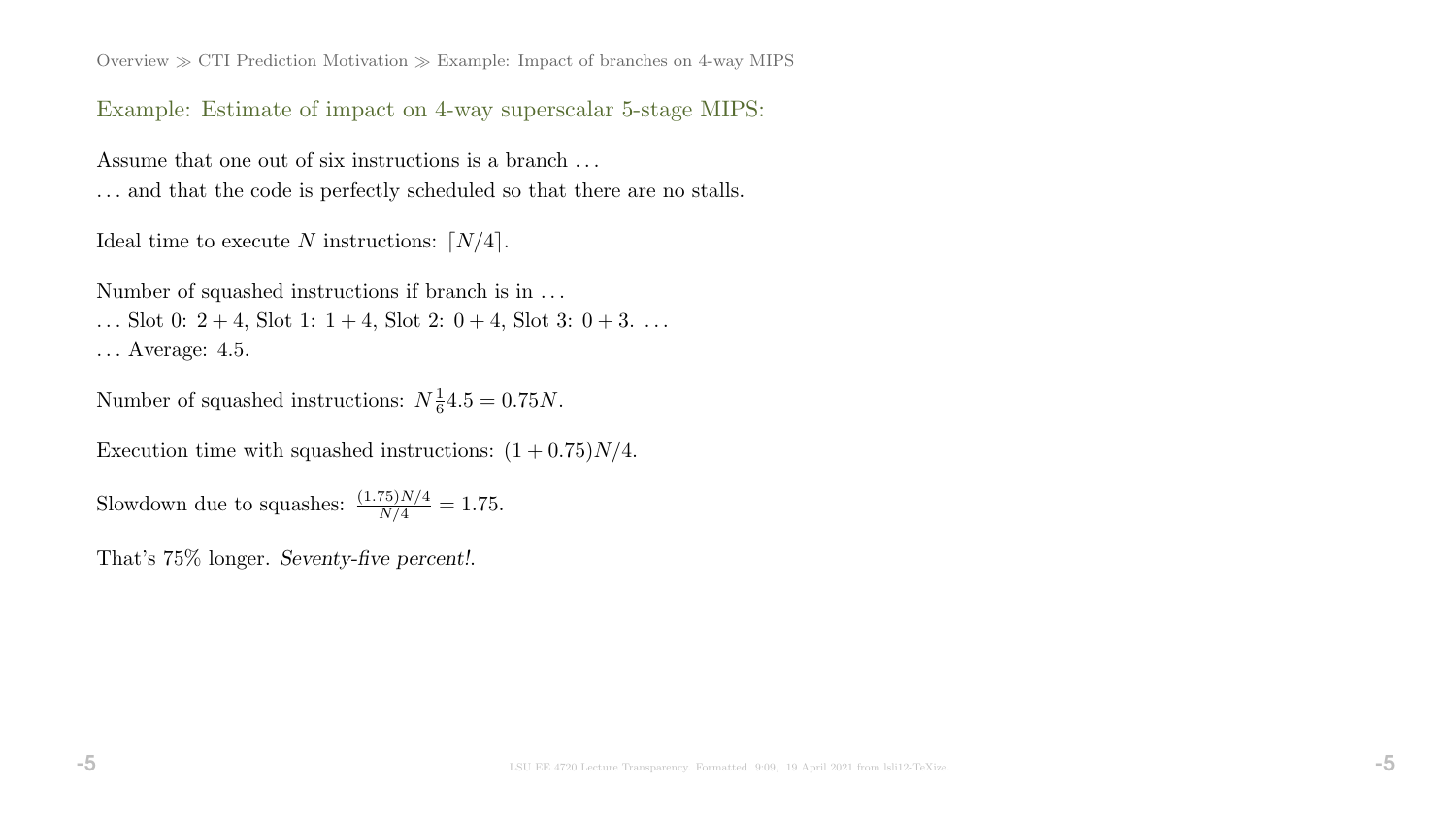Overview  $\gg$  CTI Prediction Motivation  $\gg$  Example: Impact of branches on 4-way MIPS

## Example: Estimate of impact on 4-way superscalar 5-stage MIPS:

Assume that one out of six instructions is a branch . . . . . . and that the code is perfectly scheduled so that there are no stalls.

Ideal time to execute N instructions:  $\lceil N/4 \rceil$ .

Number of squashed instructions if branch is in . . . ... Slot 0:  $2+4$ , Slot 1:  $1+4$ , Slot 2:  $0+4$ , Slot 3:  $0+3$ ... . . . Average: 4.5.

Number of squashed instructions:  $N_{\frac{1}{6}}^{\frac{1}{4}}4.5 = 0.75N$ .

Execution time with squashed instructions:  $(1 + 0.75)N/4$ .

Slowdown due to squashes:  $\frac{(1.75)N/4}{N/4} = 1.75$ .

That's 75% longer. Seventy-five percent!.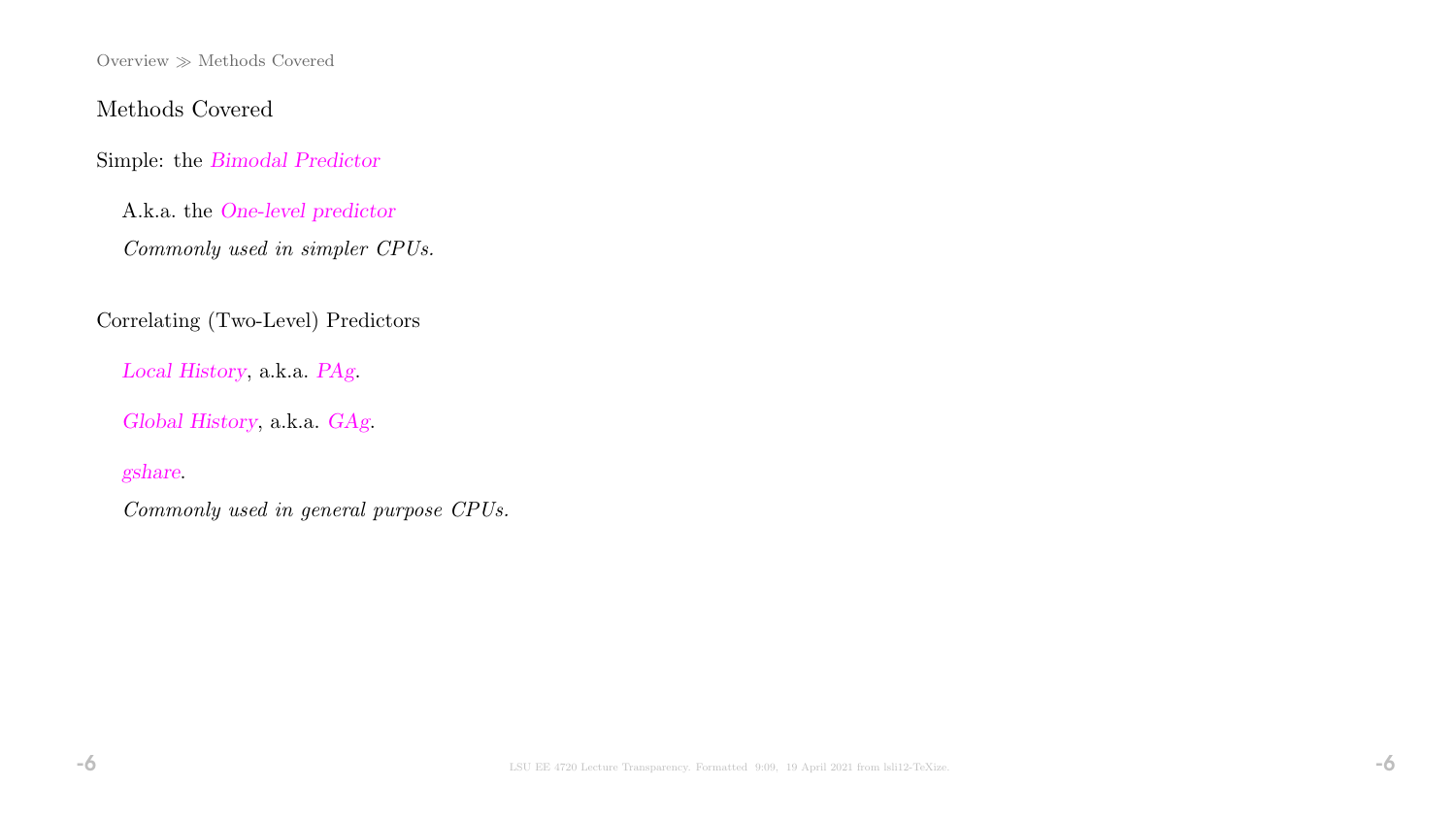Overview  $\gg$  Methods Covered

# Methods Covered

Simple: the Bimodal Predictor

A.k.a. the One-level predictor Commonly used in simpler CPUs.

Correlating (Two-Level) Predictors

Local History, a.k.a. PAg.

Global History, a.k.a. GAg.

gshare.

Commonly used in general purpose CPUs.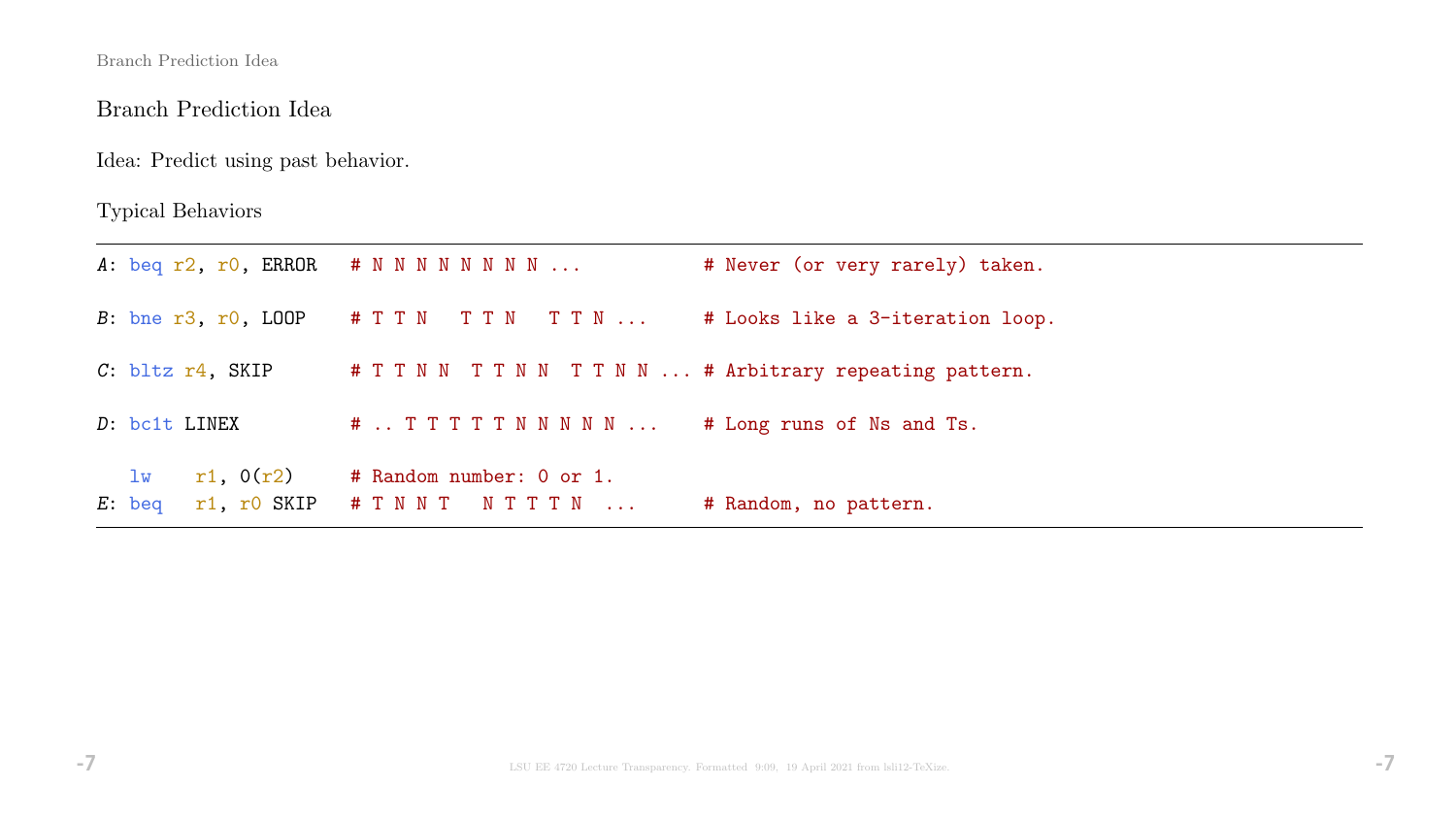Branch Prediction Idea

# Branch Prediction Idea

Idea: Predict using past behavior.

# Typical Behaviors

|                                        | $A: \text{ }$ beq $r2, r0,$ ERROR $\# N N N N N N N N $                   | # Never (or very rarely) taken. |
|----------------------------------------|---------------------------------------------------------------------------|---------------------------------|
|                                        | B: bne r3, r0, LOOP # T T N T T N T T N  # Looks like a 3-iteration loop. |                                 |
| $C:$ bltz $r4$ , SKIP                  | # T T N N T T N N T T N N  # Arbitrary repeating pattern.                 |                                 |
| D: bc1t LINEX                          | # T T T T N N N N N  # Long runs of Ns and Ts.                            |                                 |
| r1, 0(r2)<br>$\mathbf{1}$ <sub>M</sub> | # Random number: 0 or 1.<br>$E:$ beg r1, r0 SKIP $# T N N T N T T N $     | # Random, no pattern.           |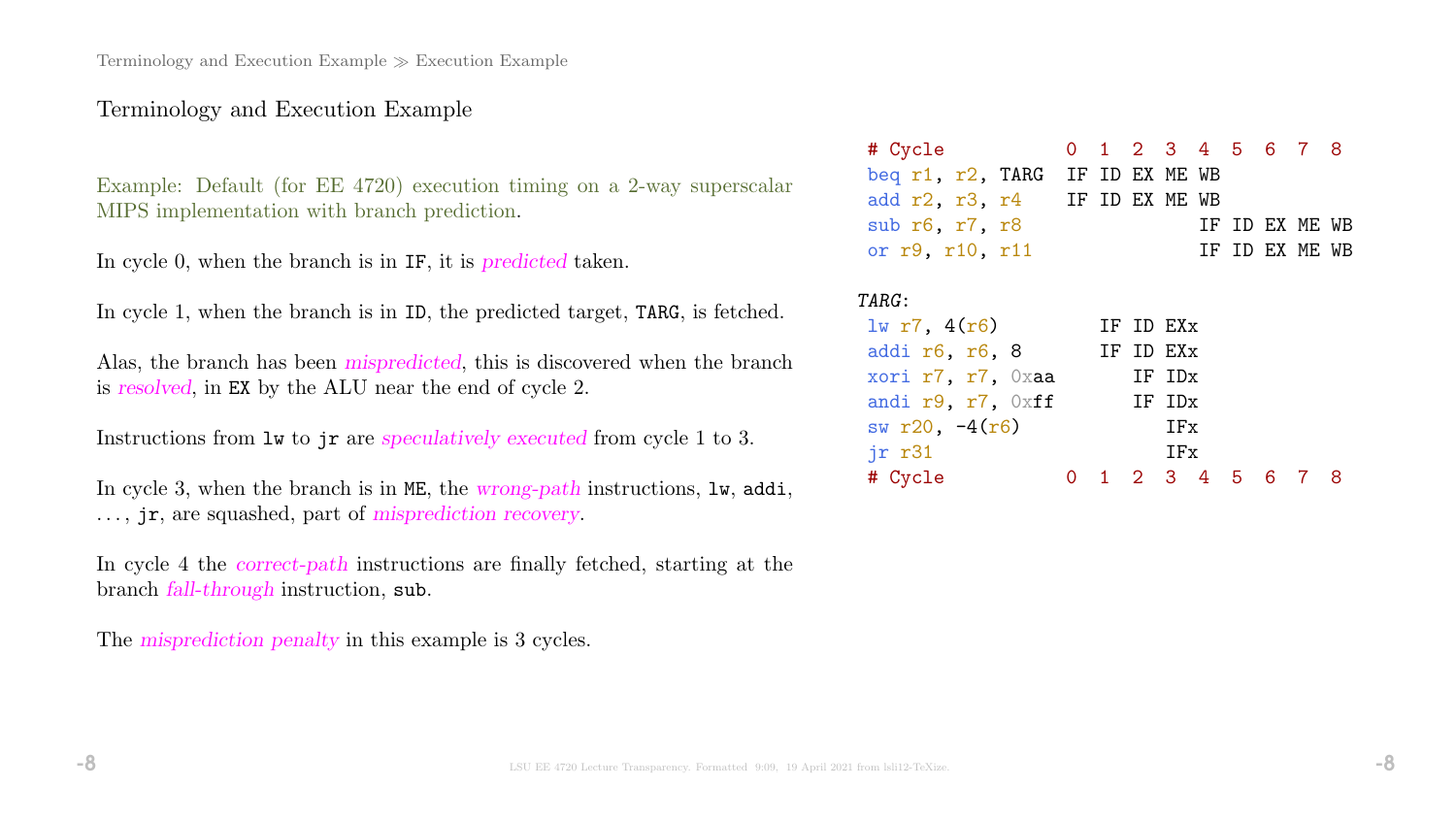Terminology and Execution Example  $\gg$  Execution Example

#### Terminology and Execution Example

Example: Default (for EE 4720) execution timing on a 2-way superscalar MIPS implementation with branch prediction.

In cycle 0, when the branch is in IF, it is predicted taken.

In cycle 1, when the branch is in ID, the predicted target, TARG, is fetched.

Alas, the branch has been *mispredicted*, this is discovered when the branch is resolved, in EX by the ALU near the end of cycle 2.

Instructions from  $\text{lw}$  to jr are speculatively executed from cycle 1 to 3.

In cycle 3, when the branch is in ME, the wrong-path instructions, lw, addi, ...,  $jr$ , are squashed, part of misprediction recovery.

In cycle 4 the correct-path instructions are finally fetched, starting at the branch fall-through instruction, sub.

The *misprediction penalty* in this example is 3 cycles.

| # Cycle                               |  | 0 1 2 3 4 5 6 7 8 |  |                |  |
|---------------------------------------|--|-------------------|--|----------------|--|
| beq $r1$ , $r2$ , TARG IF ID EX ME WB |  |                   |  |                |  |
| add r2, r3, r4 IF ID EX ME WB         |  |                   |  |                |  |
| sub r6, r7, r8                        |  |                   |  | IF ID EX ME WB |  |
| or r9, r10, r11                       |  |                   |  | IF ID EX ME WB |  |

| TARG:                     |  |                   |  |  |
|---------------------------|--|-------------------|--|--|
| 1w r7, 4(r6)              |  | IF ID EXx         |  |  |
| addi r6, r6, 8            |  | IF ID EXX         |  |  |
| xori r7, r7, Oxaa         |  | IF IDx            |  |  |
| andi $r9$ , $r7$ , $0xff$ |  | IF IDx            |  |  |
| sw $r20, -4(r6)$          |  | IFx               |  |  |
| jr r31                    |  | <b>IFx</b>        |  |  |
| # Cycle                   |  | 0 1 2 3 4 5 6 7 8 |  |  |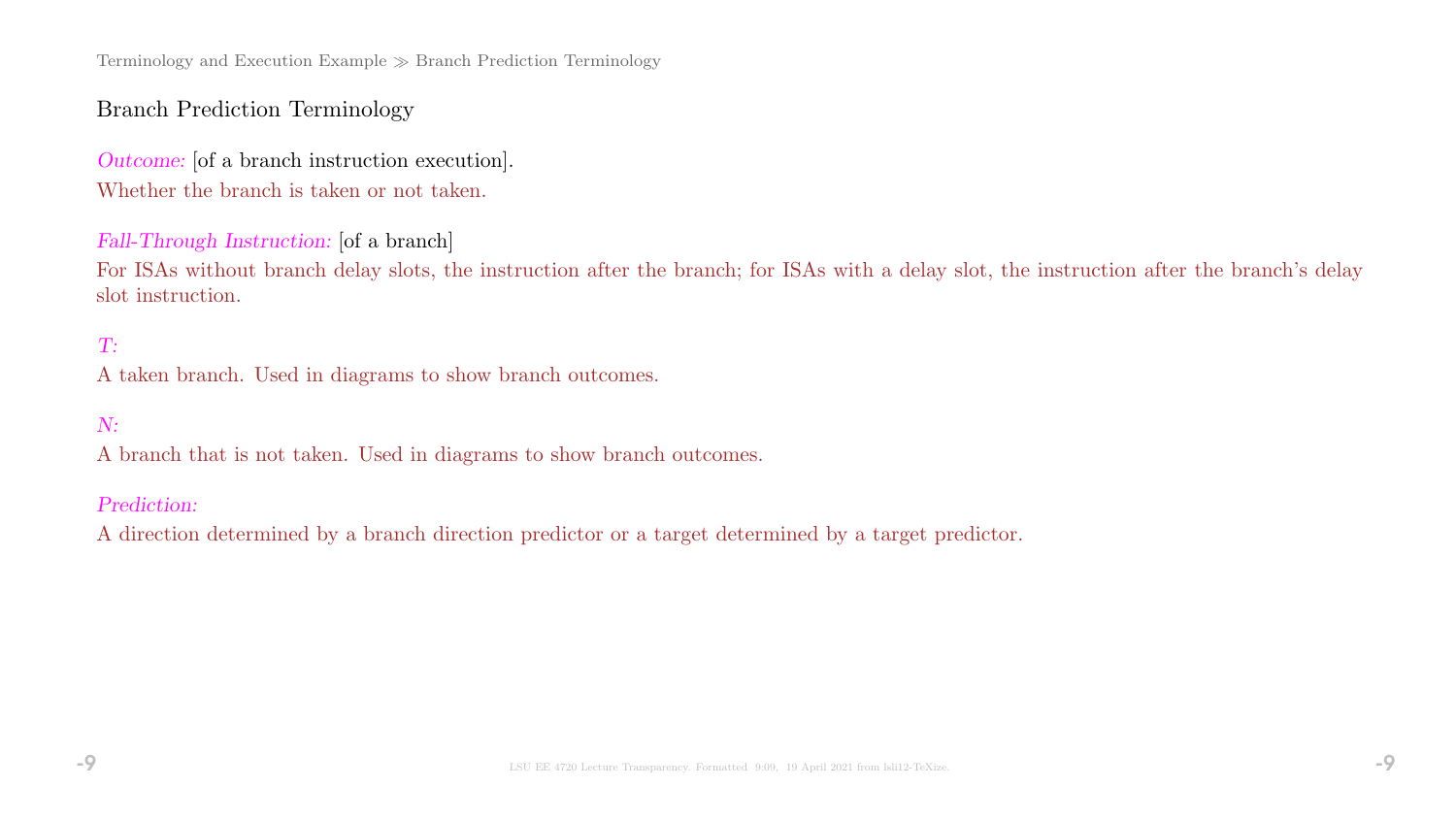Terminology and Execution Example  $\gg$  Branch Prediction Terminology

### Branch Prediction Terminology

Outcome: [of a branch instruction execution]. Whether the branch is taken or not taken.

#### Fall-Through Instruction: [of a branch]

For ISAs without branch delay slots, the instruction after the branch; for ISAs with a delay slot, the instruction after the branch's delay slot instruction.

### T:

A taken branch. Used in diagrams to show branch outcomes.

#### N:

A branch that is not taken. Used in diagrams to show branch outcomes.

#### Prediction:

A direction determined by a branch direction predictor or a target determined by a target predictor.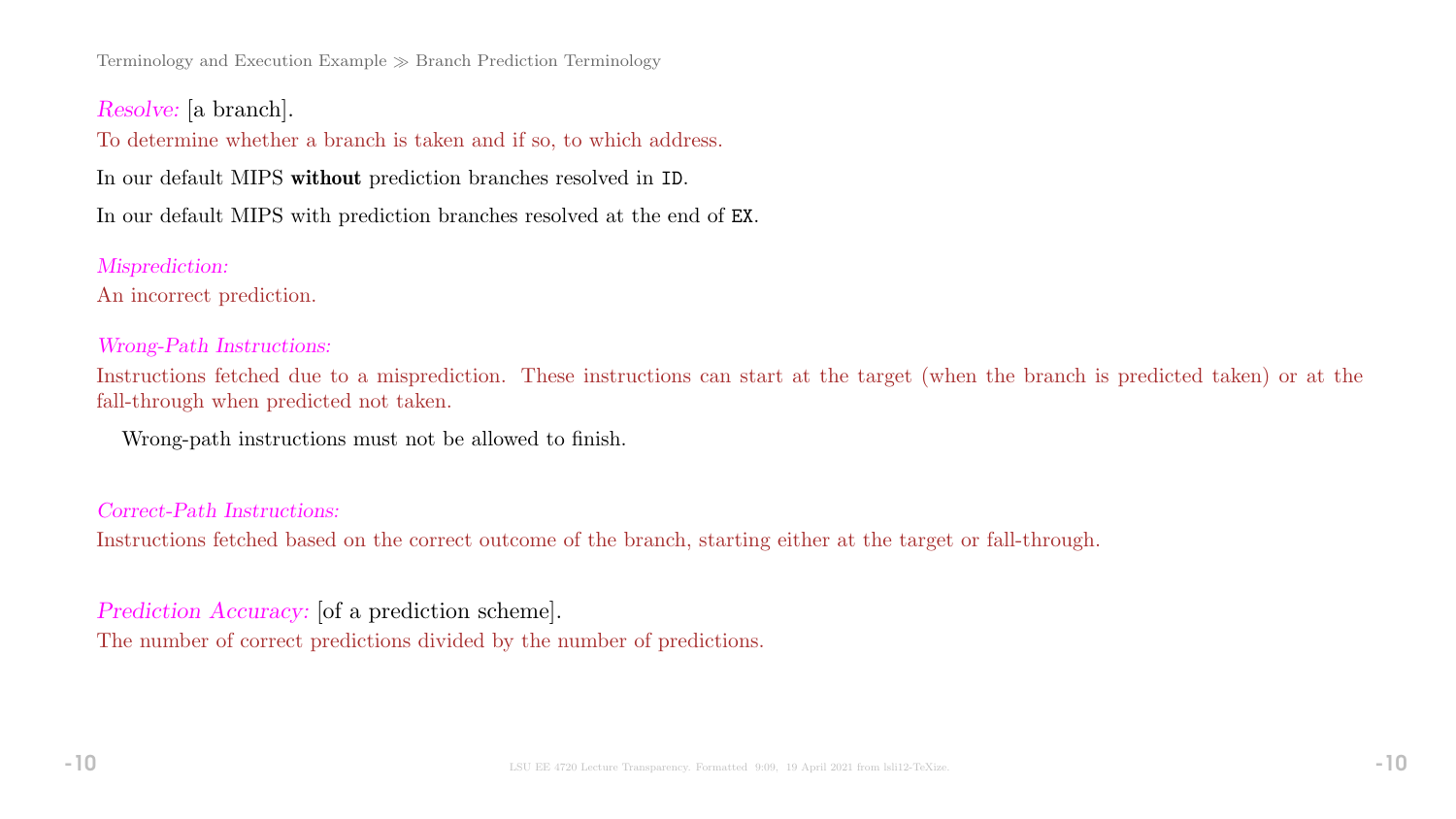Terminology and Execution Example  $\gg$  Branch Prediction Terminology

# Resolve: [a branch].

To determine whether a branch is taken and if so, to which address.

In our default MIPS without prediction branches resolved in ID.

In our default MIPS with prediction branches resolved at the end of EX.

#### Misprediction:

An incorrect prediction.

#### Wrong-Path Instructions:

Instructions fetched due to a misprediction. These instructions can start at the target (when the branch is predicted taken) or at the fall-through when predicted not taken.

Wrong-path instructions must not be allowed to finish.

#### Correct-Path Instructions:

Instructions fetched based on the correct outcome of the branch, starting either at the target or fall-through.

## Prediction Accuracy: [of a prediction scheme].

The number of correct predictions divided by the number of predictions.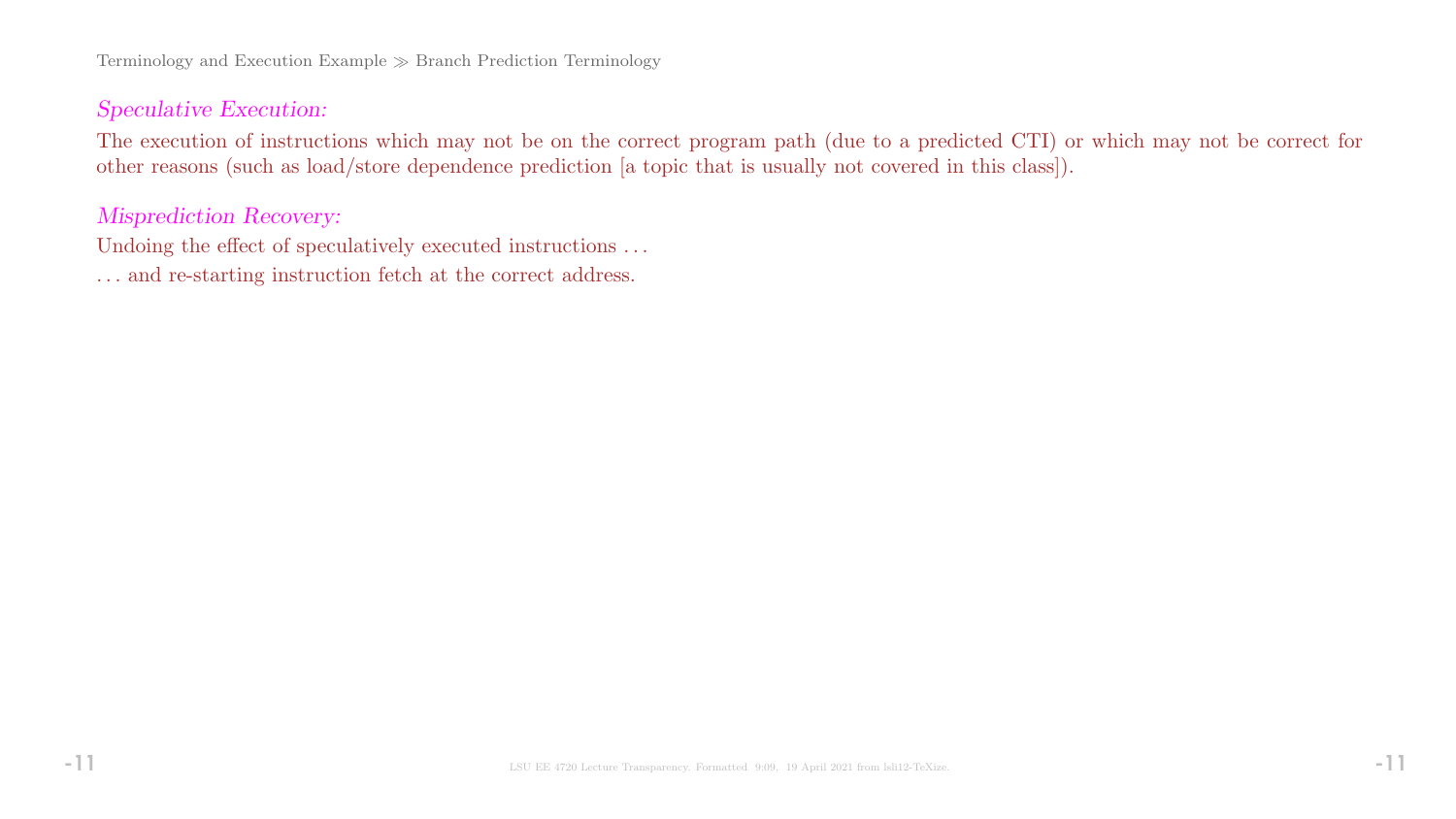Terminology and Execution Example  $\gg$  Branch Prediction Terminology

### Speculative Execution:

The execution of instructions which may not be on the correct program path (due to a predicted CTI) or which may not be correct for other reasons (such as load/store dependence prediction [a topic that is usually not covered in this class]).

#### Misprediction Recovery:

Undoing the effect of speculatively executed instructions . . .

. . . and re-starting instruction fetch at the correct address.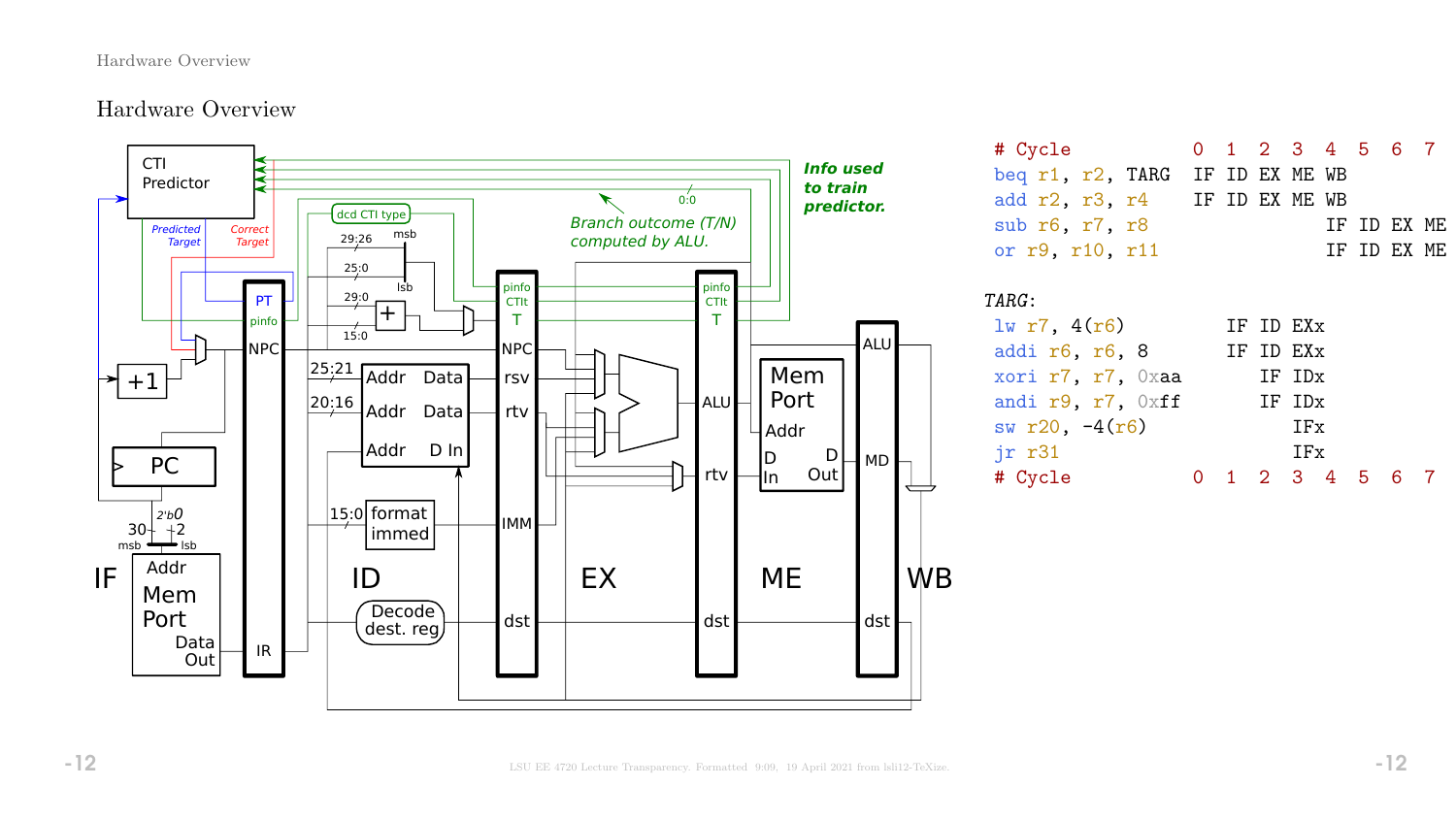## Hardware Overview

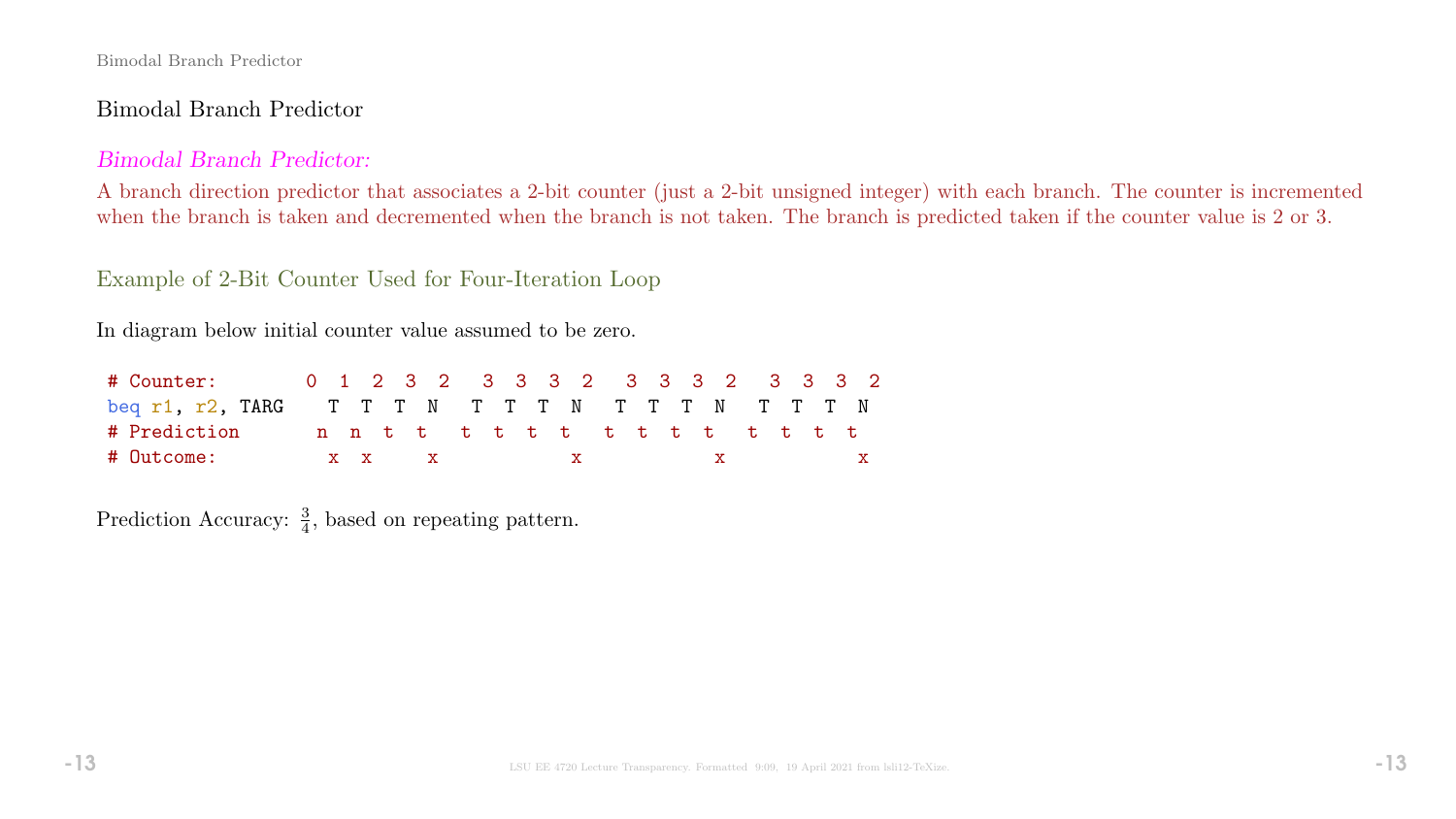# Bimodal Branch Predictor

## Bimodal Branch Predictor:

A branch direction predictor that associates a 2-bit counter (just a 2-bit unsigned integer) with each branch. The counter is incremented when the branch is taken and decremented when the branch is not taken. The branch is predicted taken if the counter value is 2 or 3.

Example of 2-Bit Counter Used for Four-Iteration Loop

In diagram below initial counter value assumed to be zero.

| # Counter:                                             |         | 0 1 2 3 2 3 3 3 2 3 3 3 2 3 3 3 2 |  |                                                                                                                                                                                                                                                                                                  |  |  |  |  |
|--------------------------------------------------------|---------|-----------------------------------|--|--------------------------------------------------------------------------------------------------------------------------------------------------------------------------------------------------------------------------------------------------------------------------------------------------|--|--|--|--|
| beg $r1$ , $r2$ , TARG T T T N T T T N T T T N T T T N |         |                                   |  |                                                                                                                                                                                                                                                                                                  |  |  |  |  |
| # Prediction                                           |         | nnt t t t t t t t t t t t t       |  |                                                                                                                                                                                                                                                                                                  |  |  |  |  |
| # Outcome:                                             | $X$ $X$ |                                   |  | $\mathbf{X}$ and $\mathbf{X}$ and $\mathbf{X}$ and $\mathbf{X}$ and $\mathbf{X}$ and $\mathbf{X}$ and $\mathbf{X}$ and $\mathbf{X}$ and $\mathbf{X}$ and $\mathbf{X}$ and $\mathbf{X}$ and $\mathbf{X}$ and $\mathbf{X}$ and $\mathbf{X}$ and $\mathbf{X}$ and $\mathbf{X}$ and $\mathbf{X}$ and |  |  |  |  |

Prediction Accuracy:  $\frac{3}{4}$ , based on repeating pattern.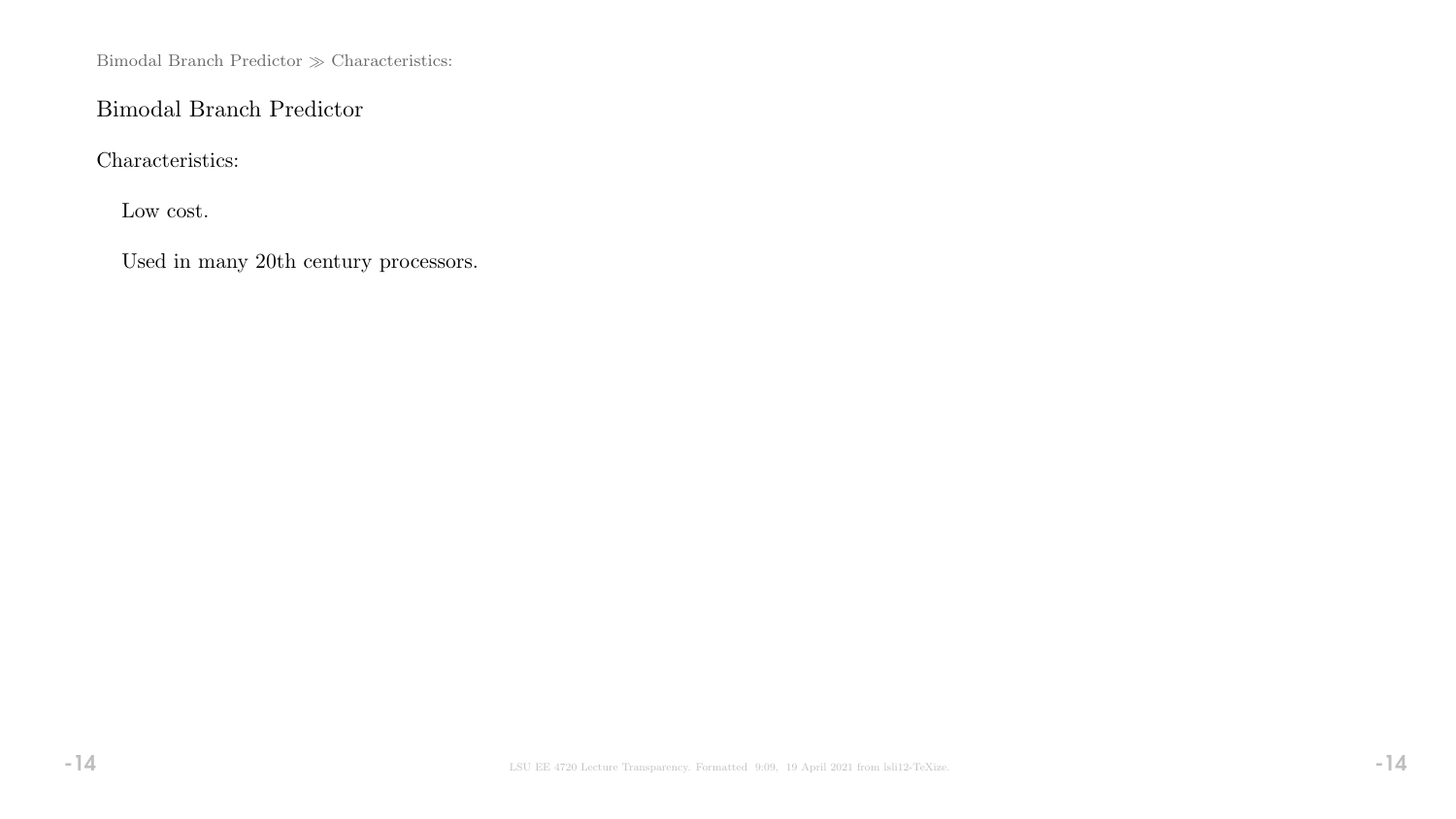Bimodal Branch Predictor  $\gg$  Characteristics:

# Bimodal Branch Predictor

Characteristics:

Low cost.

Used in many 20th century processors.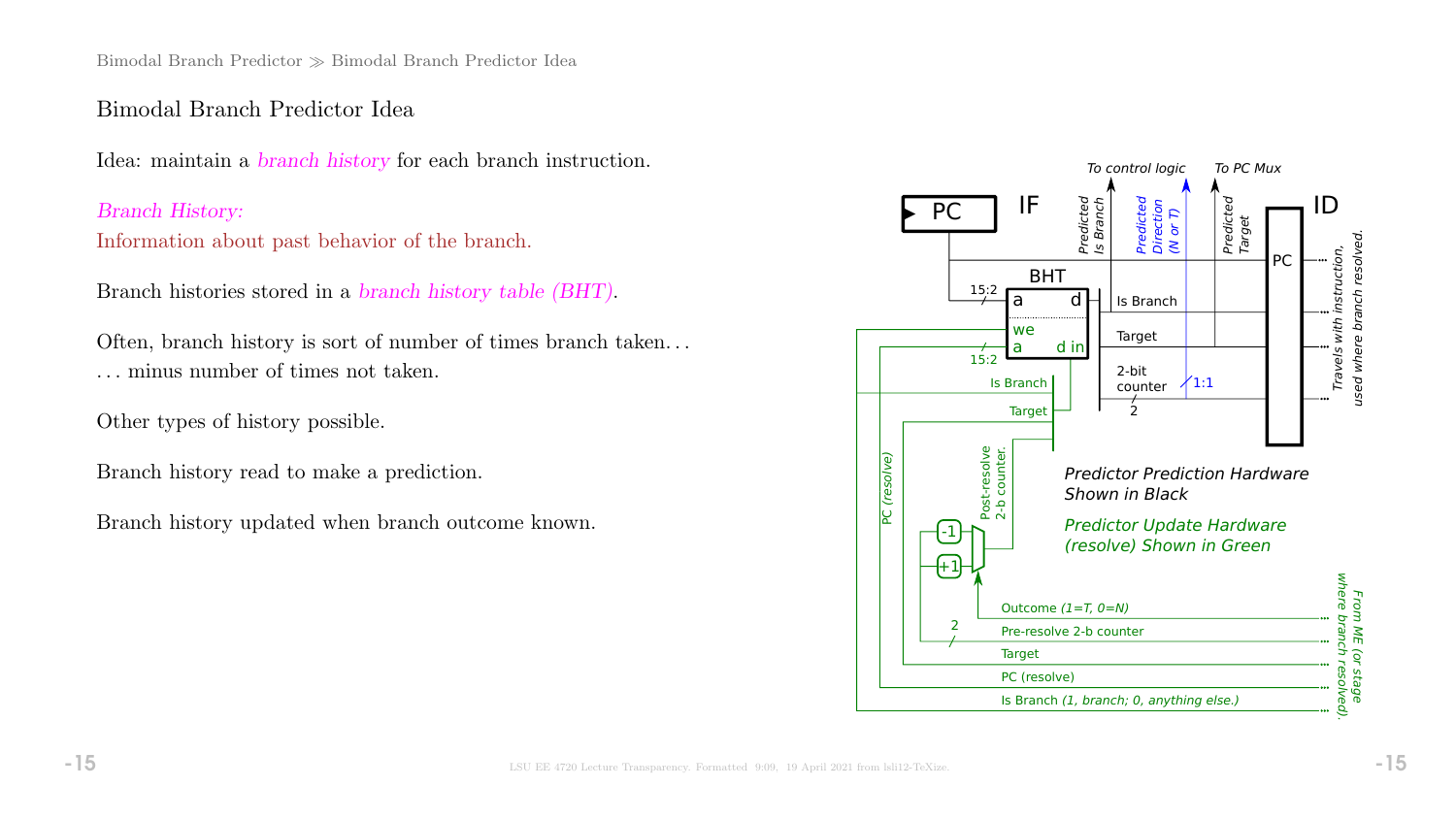Bimodal Branch Predictor Bimodal Branch Predictor Idea

#### Bimodal Branch Predictor Idea

Idea: maintain a branch history for each branch instruction.

Branch History: Information about past behavior of the branch.

Branch histories stored in a branch history table (BHT).

Often, branch history is sort of number of times branch taken. . . . . . minus number of times not taken.

Other types of history possible.

Branch history read to make a prediction.

Branch history updated when branch outcome known.

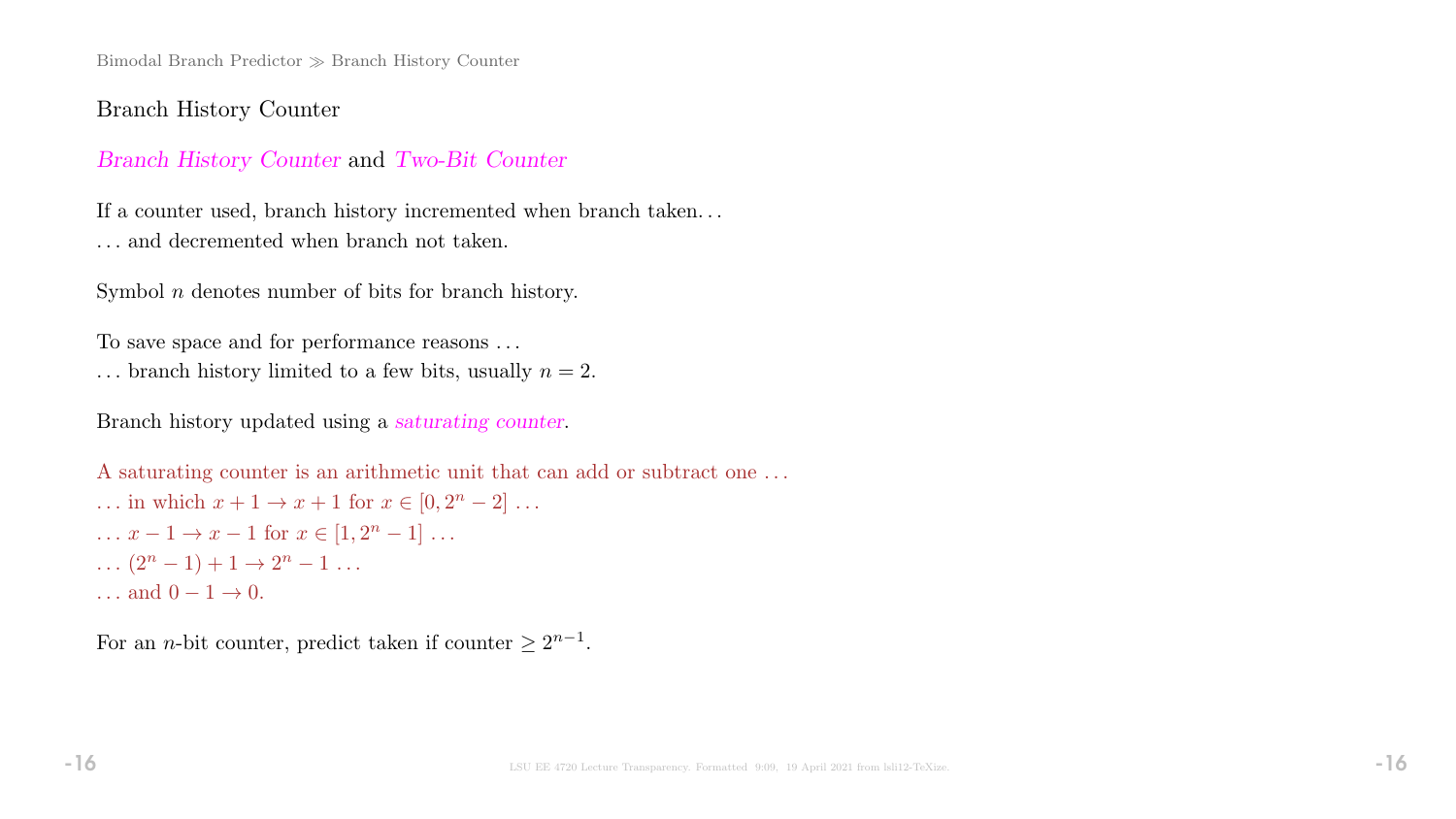Bimodal Branch Predictor  $\gg$  Branch History Counter

### Branch History Counter

### Branch History Counter and Two-Bit Counter

If a counter used, branch history incremented when branch taken. . . . . . and decremented when branch not taken.

Symbol *n* denotes number of bits for branch history.

To save space and for performance reasons . . . ... branch history limited to a few bits, usually  $n = 2$ .

Branch history updated using a saturating counter.

A saturating counter is an arithmetic unit that can add or subtract one . . . ... in which  $x + 1 \to x + 1$  for  $x \in [0, 2^n - 2]$  ...  $\ldots$   $x-1 \to x-1$  for  $x \in [1, 2^n-1] \ldots$  $\ldots (2^n - 1) + 1 \rightarrow 2^n - 1 \ldots$  $\ldots$  and  $0 - 1 \rightarrow 0$ .

For an *n*-bit counter, predict taken if counter  $\geq 2^{n-1}$ .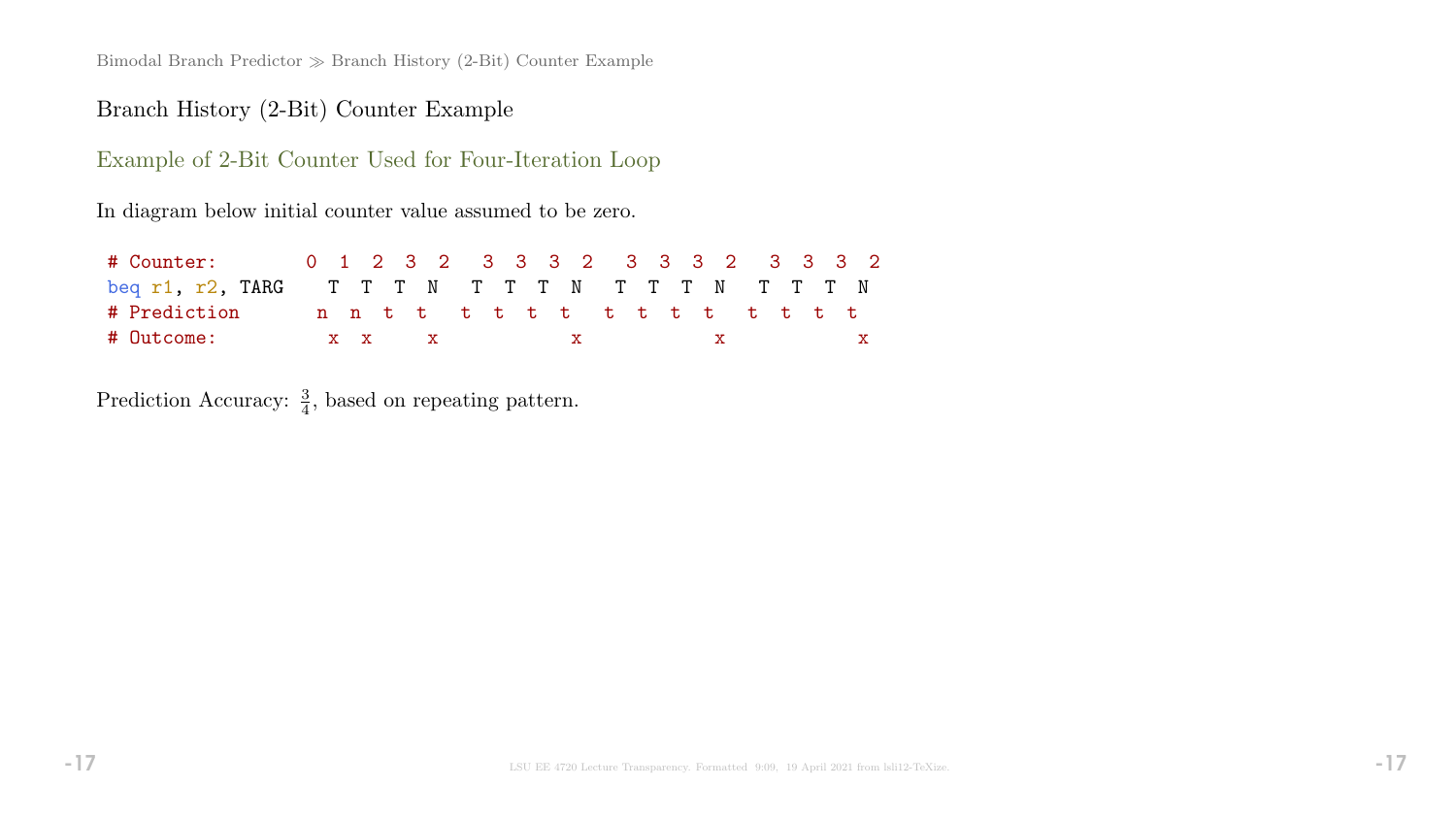Bimodal Branch Predictor  $\gg$  Branch History (2-Bit) Counter Example

Branch History (2-Bit) Counter Example

Example of 2-Bit Counter Used for Four-Iteration Loop

In diagram below initial counter value assumed to be zero.

| # Counter:                                       | 0 1 2 3 2 3 3 3 2 3 3 3 2 3 3 3 2 |  |  |  |  |  |  |                             |  |  |  |
|--------------------------------------------------|-----------------------------------|--|--|--|--|--|--|-----------------------------|--|--|--|
| beg r1, r2, TARG T T T N T T T N T T T N T T T N |                                   |  |  |  |  |  |  |                             |  |  |  |
| # Prediction                                     |                                   |  |  |  |  |  |  | nnt t t t t t t t t t t t t |  |  |  |
| # Outcome:                                       |                                   |  |  |  |  |  |  |                             |  |  |  |

Prediction Accuracy:  $\frac{3}{4}$ , based on repeating pattern.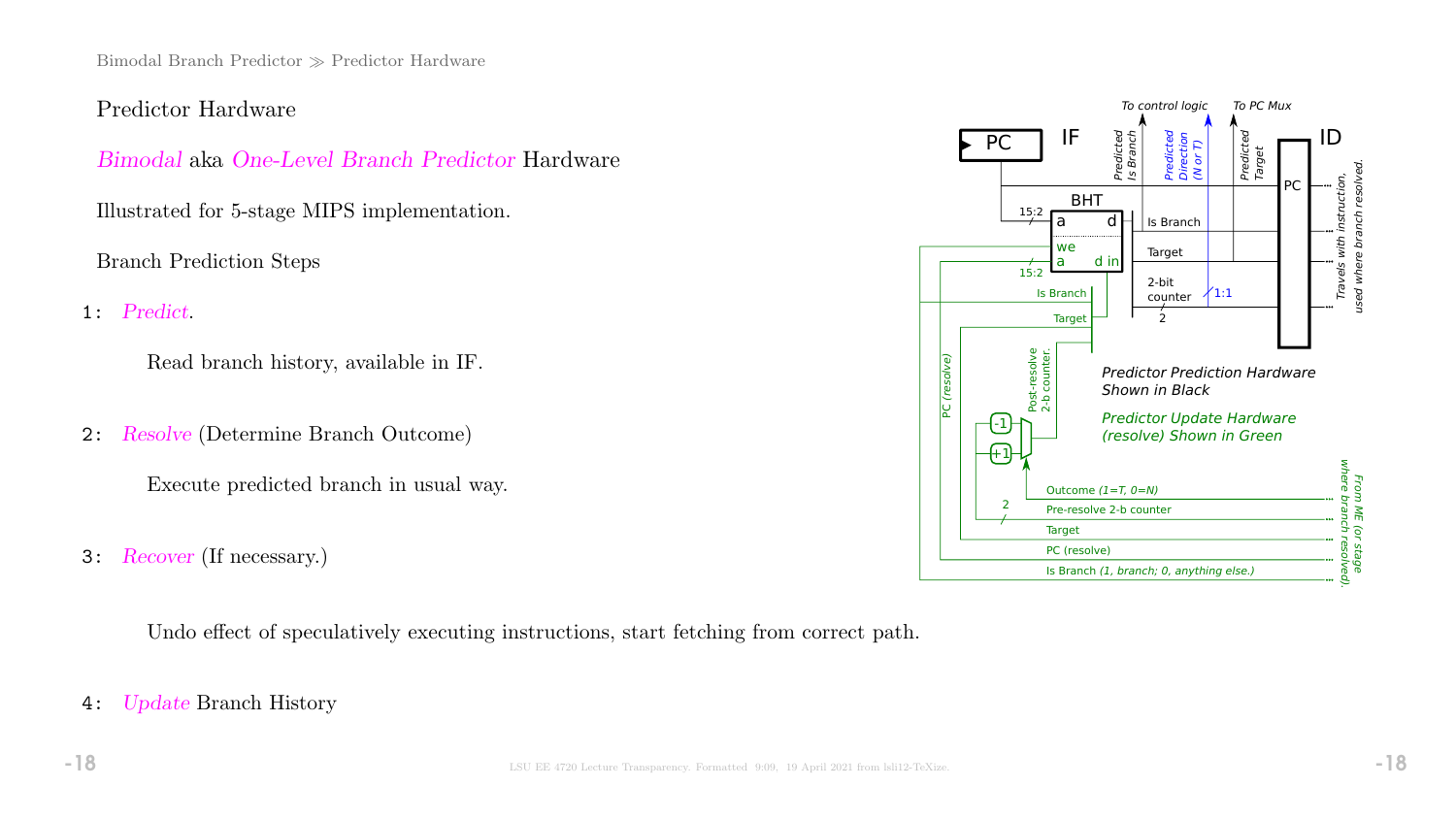Bimodal Branch Predictor  $\gg$  Predictor Hardware

Predictor Hardware

Bimodal aka One-Level Branch Predictor Hardware

Illustrated for 5-stage MIPS implementation.

Branch Prediction Steps

1: Predict.

Read branch history, available in IF.

2: Resolve (Determine Branch Outcome)

Execute predicted branch in usual way.

3: Recover (If necessary.)

Undo effect of speculatively executing instructions, start fetching from correct path.

4: Update Branch History

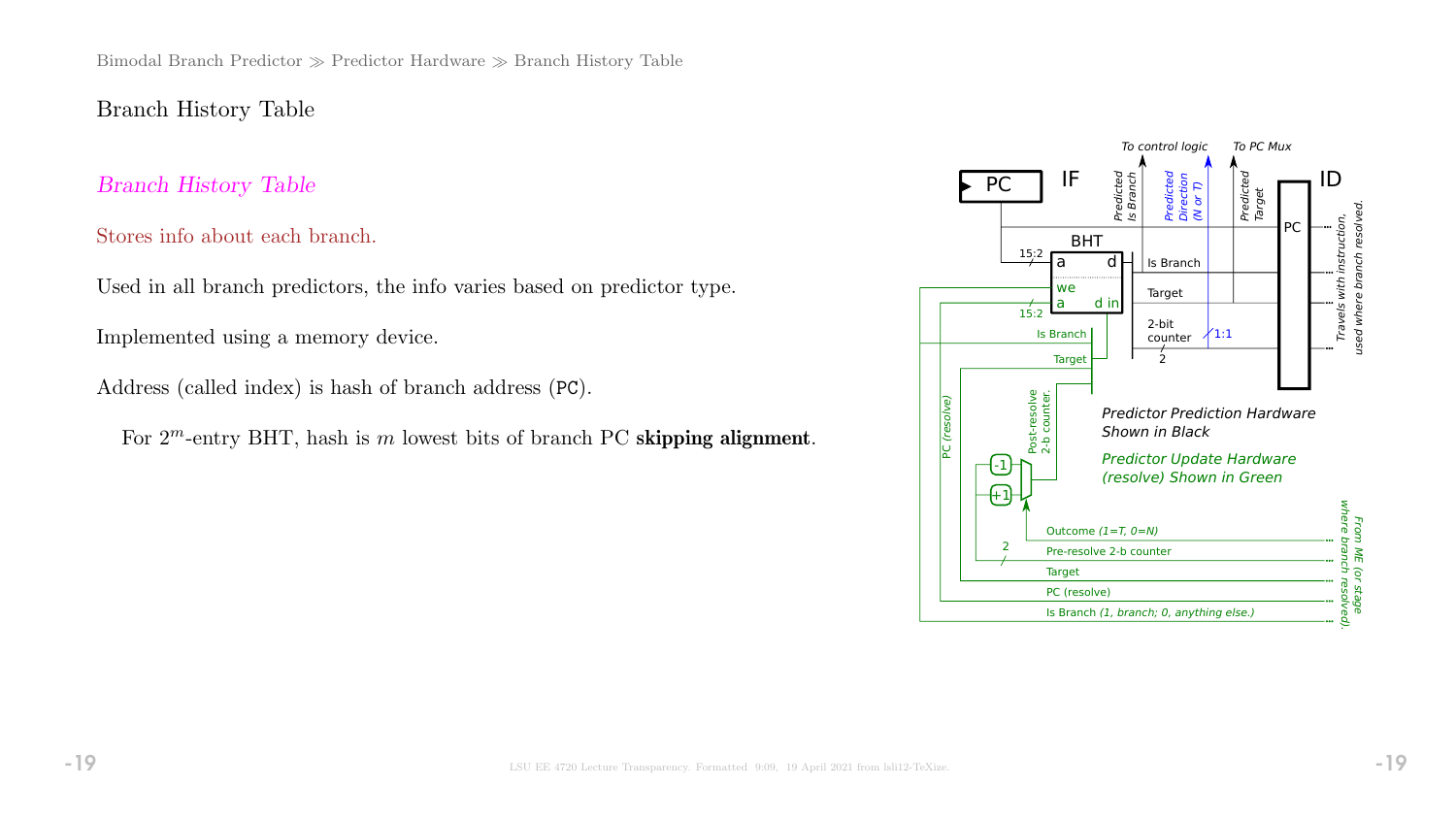Bimodal Branch Predictor  $\gg$  Predictor Hardware  $\gg$  Branch History Table

## Branch History Table

Branch History Table

Stores info about each branch.

Used in all branch predictors, the info varies based on predictor type.

Implemented using a memory device.

Address (called index) is hash of branch address (PC).

For  $2^m$ -entry BHT, hash is m lowest bits of branch PC skipping alignment.

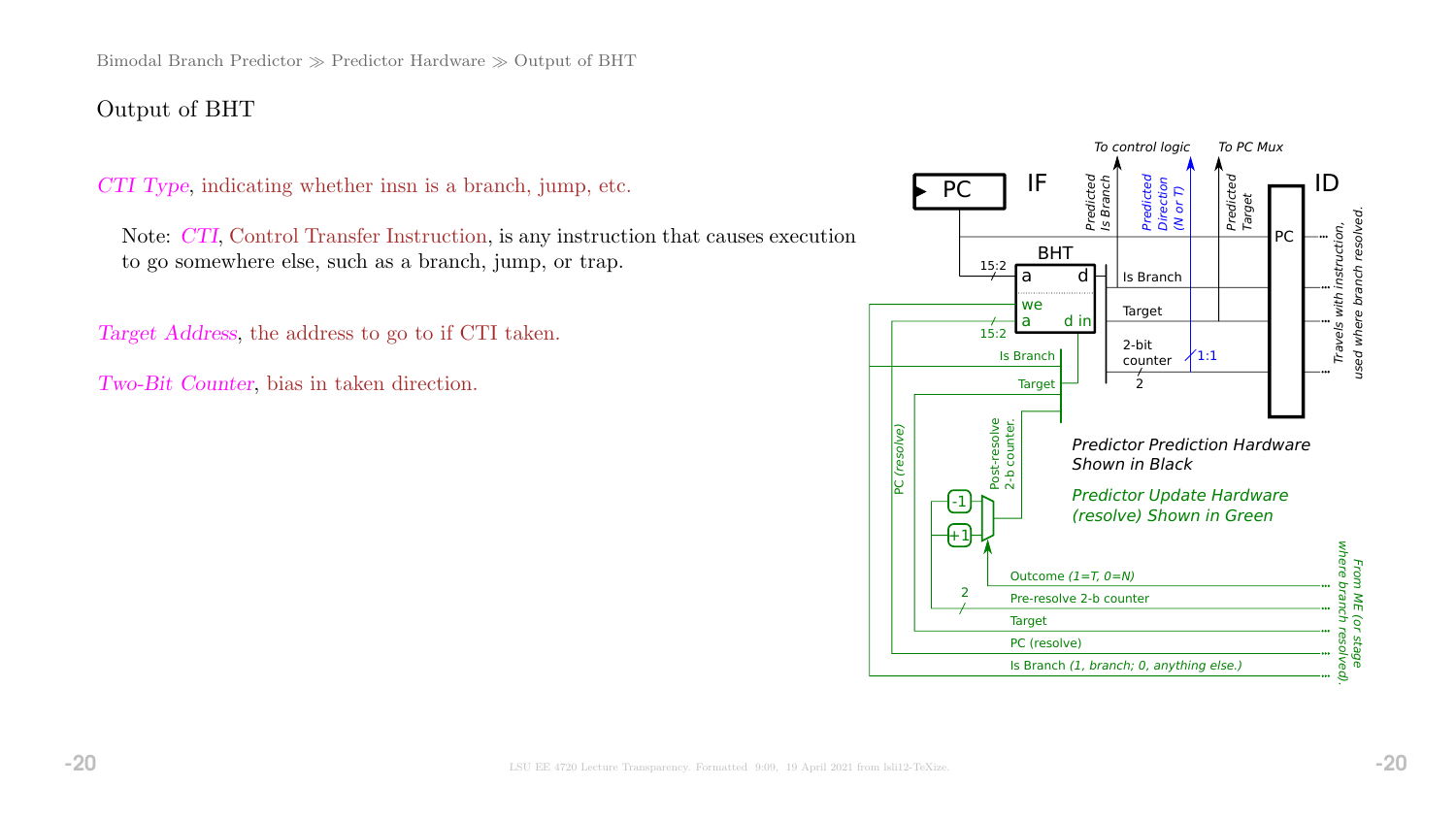Bimodal Branch Predictor  $\gg$  Predictor Hardware  $\gg$  Output of BHT

Output of BHT

CTI Type, indicating whether insn is a branch, jump, etc.

Note: CTI, Control Transfer Instruction, is any instruction that causes execution to go somewhere else, such as a branch, jump, or trap.

Target Address, the address to go to if CTI taken.

Two-Bit Counter, bias in taken direction.

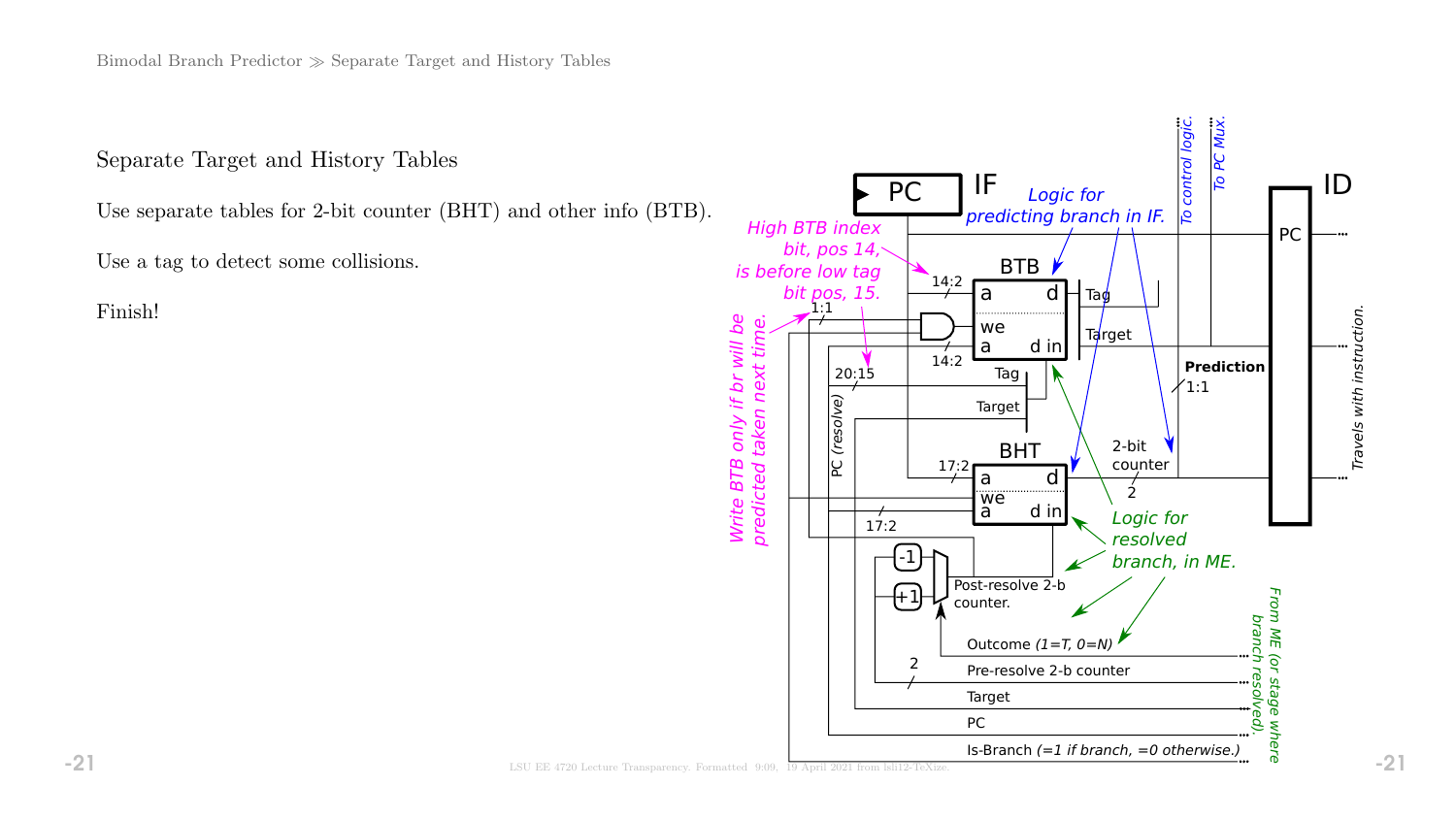Separate Target and History Tables

Use separate tables for 2-bit counter (BHT) and other info (BTB).

Use a tag to detect some collisions.

Finish!

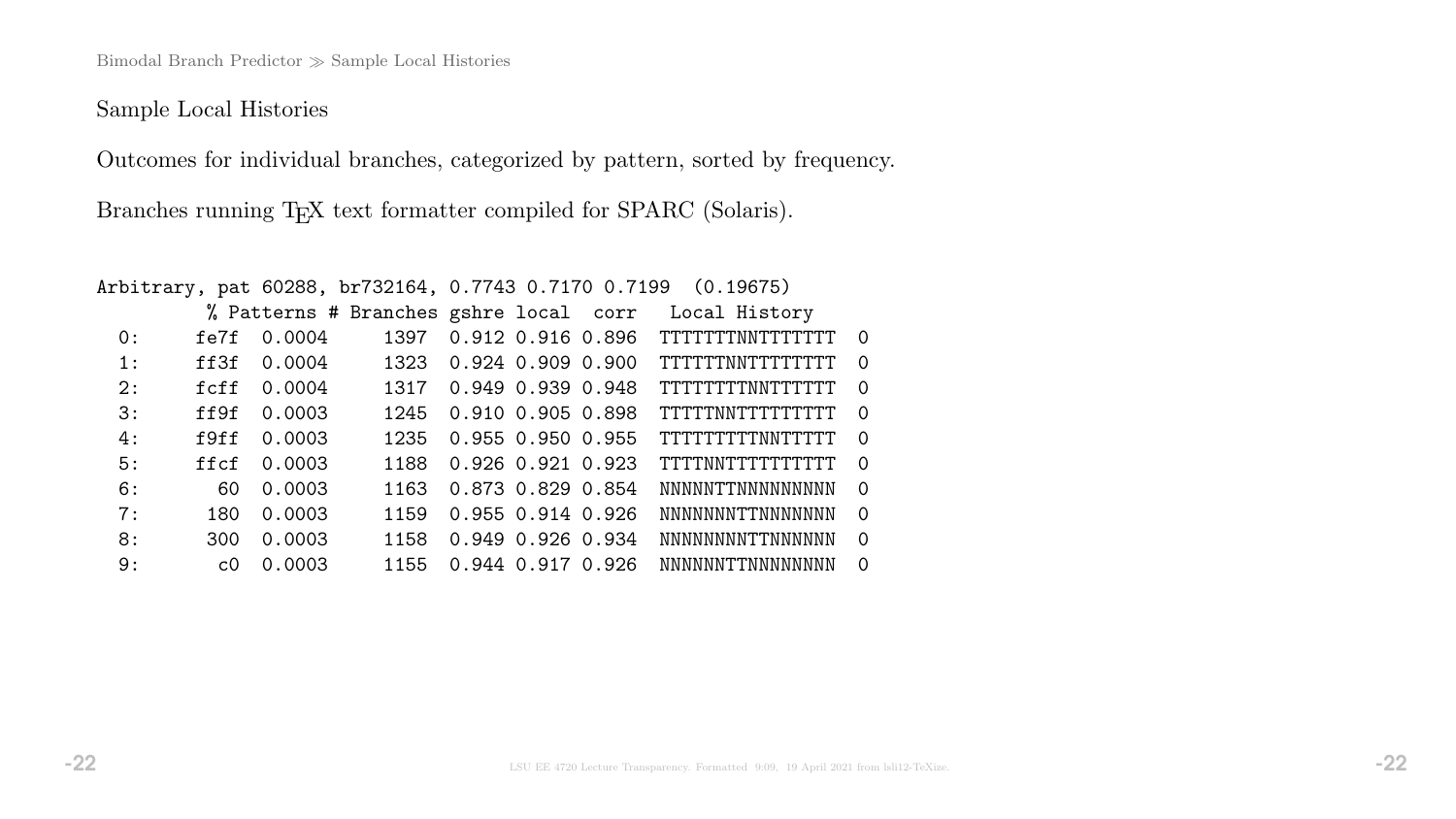Sample Local Histories

Outcomes for individual branches, categorized by pattern, sorted by frequency.

Branches running TEX text formatter compiled for SPARC (Solaris).

|    |                  |        |      |  |                         | Arbitrary, pat 60288, br732164, 0.7743 0.7170 0.7199 (0.19675) |                |
|----|------------------|--------|------|--|-------------------------|----------------------------------------------------------------|----------------|
|    |                  |        |      |  |                         | % Patterns # Branches gshre local corr Local History           |                |
| 0: | fe7f             | 0.0004 | 1397 |  | $0.912$ $0.916$ $0.896$ | TTTTTTTNNTTTTTTTT                                              | - 0            |
| 1: | ff3f             | 0.0004 | 1323 |  | $0.924$ 0.909 0.900     | TTTTTTNNTTTTTTTTTTTT                                           | $\Omega$       |
| 2: | $f$ c $f$ f $\,$ | 0.0004 | 1317 |  | $0.949$ 0.939 0.948     | TTTTTTTTNNTTTTTTT                                              | $\Omega$       |
| 3: | ff9f             | 0.0003 | 1245 |  | $0.910$ $0.905$ $0.898$ | TTTTTNNTTTTTTTTTTTTTTT                                         | $\Omega$       |
| 4: | f9ff             | 0.0003 | 1235 |  | $0.955$ 0.950 0.955     | TTTTTTTTTNNTTTTT                                               | $\overline{0}$ |
| 5: | ffcf             | 0.0003 | 1188 |  | $0.926$ $0.921$ $0.923$ | TTTTNNTTTTTTTTTTT                                              | $\Omega$       |
| 6: | 60               | 0.0003 | 1163 |  | $0.873$ $0.829$ $0.854$ | NNNNNTTNNNNNNNNNN                                              | $\Omega$       |
| 7: | 180              | 0.0003 | 1159 |  | $0.955$ $0.914$ $0.926$ | NNNNNNNTTNNNNNNNN                                              | $\overline{0}$ |
| 8: | 300              | 0.0003 | 1158 |  | $0.949$ $0.926$ $0.934$ | NNNNNNNNTTNNNNNNN                                              | $\Omega$       |
| 9: | c <sub>0</sub>   | 0.0003 | 1155 |  | $0.944$ 0.917 0.926     | NNNNNNTTNNNNNNNNN                                              | $\Omega$       |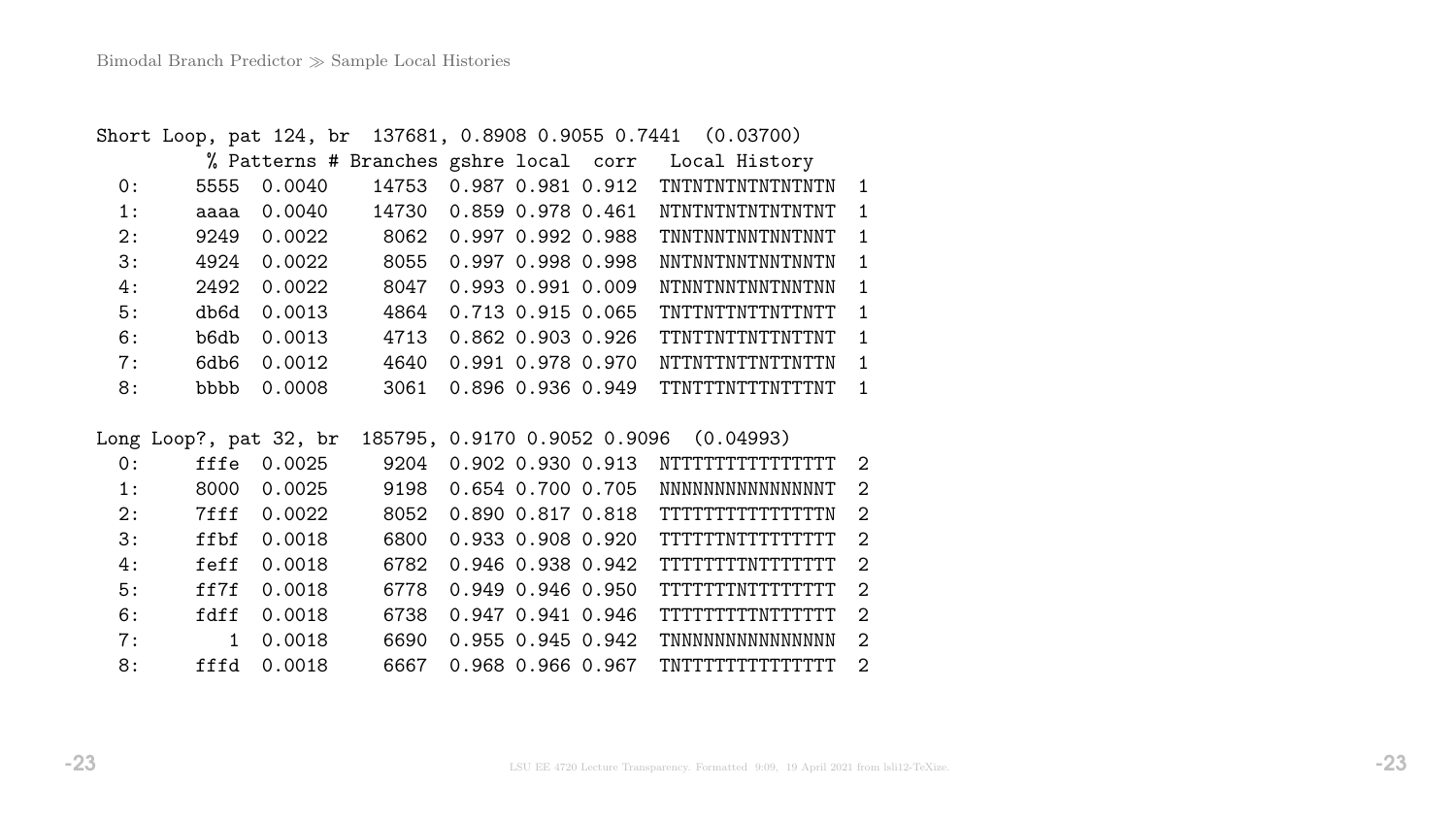|    |                        | Short Loop, pat 124, br |       |                         |                         | 137681, 0.8908 0.9055 0.7441 (0.03700)               |                |
|----|------------------------|-------------------------|-------|-------------------------|-------------------------|------------------------------------------------------|----------------|
|    |                        |                         |       |                         |                         | % Patterns # Branches gshre local corr Local History |                |
| 0: | 5555                   | 0.0040                  | 14753 |                         | $0.987$ $0.981$ $0.912$ | TNTNTNTNTNTNTNTN                                     | $\mathbf{1}$   |
| 1: | aaaa                   | 0.0040                  | 14730 | 0.859 0.978 0.461       |                         | <b>NTNTNTNTNTNTNTNT</b>                              | $\mathbf{1}$   |
| 2: | 9249                   | 0.0022                  | 8062  |                         | 0.997 0.992 0.988       | TNNTNNTNNTNNTNNT                                     | $\mathbf{1}$   |
| 3: | 4924                   | 0.0022                  | 8055  | 0.997 0.998 0.998       |                         | NNTNNTNNTNNTNNTN                                     | $\mathbf{1}$   |
| 4: | 2492                   | 0.0022                  | 8047  | $0.993$ $0.991$ $0.009$ |                         | <b>NTNNTNNTNNTNNTNN</b>                              | $\mathbf{1}$   |
| 5: | db <sub>6</sub> d      | 0.0013                  | 4864  | 0.713 0.915 0.065       |                         | TNTTNTTNTTNTTNTT                                     | $\mathbf{1}$   |
| 6: | b6db                   | 0.0013                  | 4713  | 0.862 0.903 0.926       |                         | TTNTTNTTNTTNTTNT                                     | $\mathbf{1}$   |
| 7: | 6db6                   | 0.0012                  | 4640  | 0.991 0.978 0.970       |                         | <b>NTTNTTNTTNTTNTTN</b>                              | $\mathbf{1}$   |
| 8: | bbbb                   | 0.0008                  | 3061  |                         | 0.896 0.936 0.949       | TTNTTTNTTTNTTTNT                                     | $\mathbf{1}$   |
|    |                        |                         |       |                         |                         |                                                      |                |
|    | Long Loop?, pat 32, br |                         |       |                         |                         | 185795, 0.9170 0.9052 0.9096 (0.04993)               |                |
| 0: | fffe                   | 0.0025                  | 9204  | $0.902$ 0.930 0.913     |                         |                                                      | 2              |
| 1: | 8000                   | 0.0025                  | 9198  | 0.654 0.700 0.705       |                         | NNNNNNNNNNNNNNNT                                     | $\overline{2}$ |
| 2: | 7fff                   | 0.0022                  | 8052  | 0.890 0.817 0.818       |                         | <b>TTTTTTTTTTTTTTTN</b>                              | 2              |
| 3: | ffbf                   | 0.0018                  | 6800  | 0.933 0.908 0.920       |                         |                                                      | $\overline{2}$ |
| 4: | feff                   | 0.0018                  | 6782  | 0.946 0.938 0.942       |                         | TTTTTTTTNTTTTTTTTTTTT                                | $\overline{2}$ |
| 5: | ff7f                   | 0.0018                  | 6778  | 0.949 0.946 0.950       |                         |                                                      | 2              |
| 6: | fdff                   | 0.0018                  | 6738  | 0.947 0.941 0.946       |                         | TTTTTTTTTNTTTTTTT                                    | $\overline{2}$ |
| 7: | $\mathbf{1}$           | 0.0018                  | 6690  | $0.955$ $0.945$ $0.942$ |                         | TNNNNNNNNNNNNNNN                                     | 2              |

8: fffd 0.0018 6667 0.968 0.966 0.967 TNTTTTTTTTTTTTTT 2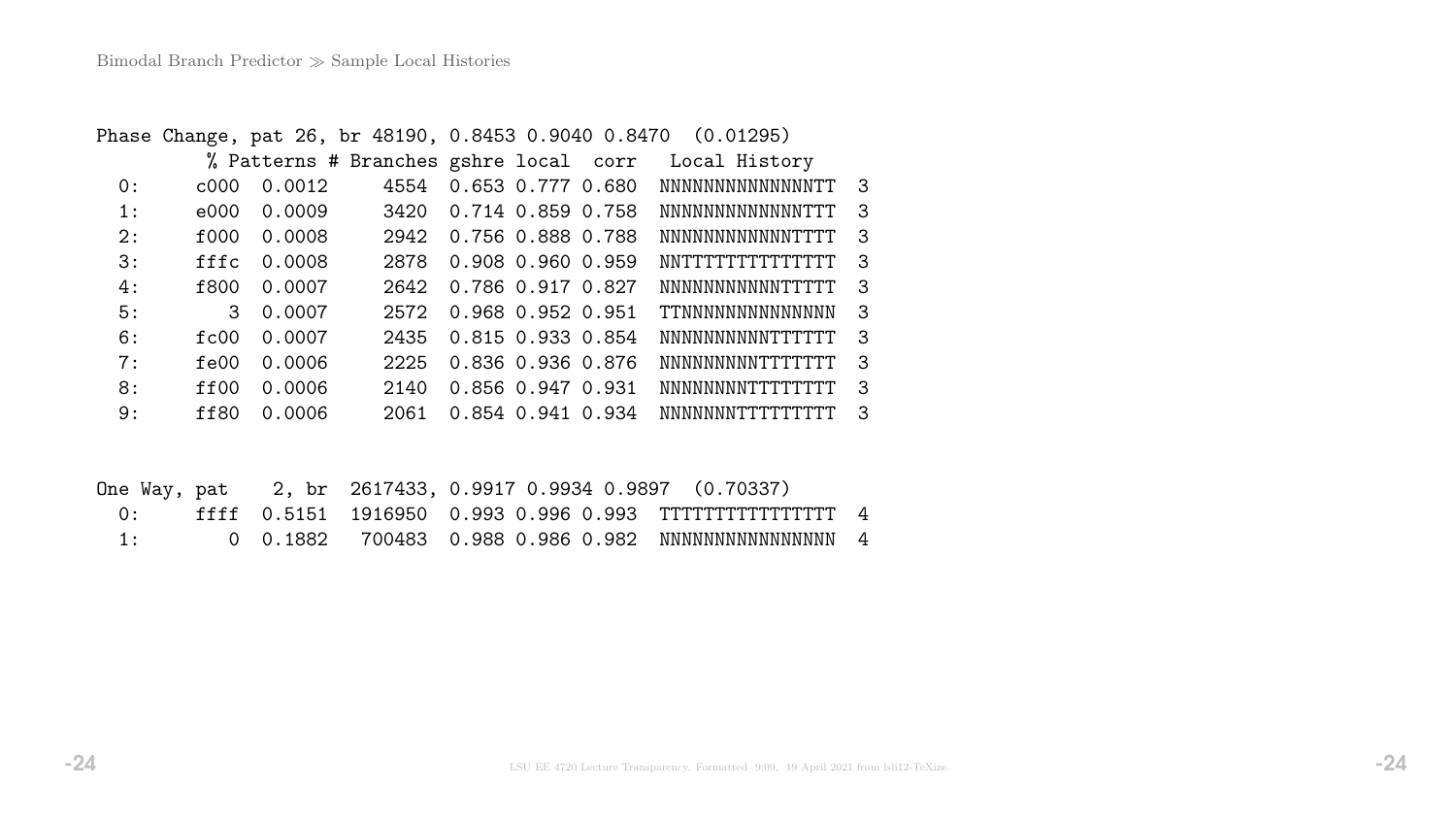|    |      | Phase Change, pat 26, br 48190, 0.8453 0.9040 0.8470 |      |                         |                         | (0.01295)                                            |     |
|----|------|------------------------------------------------------|------|-------------------------|-------------------------|------------------------------------------------------|-----|
|    |      |                                                      |      |                         |                         | % Patterns # Branches gshre local corr Local History |     |
| 0: | c000 | 0.0012                                               | 4554 |                         | 0.653 0.777 0.680       | NNNNNNNNNNNNNNTT                                     | -3  |
| 1: | e000 | 0.0009                                               | 3420 |                         | 0.714 0.859 0.758       | NNNNNNNNNNNNNTTT                                     | -3  |
| 2: | f000 | 0.0008                                               | 2942 |                         | 0.756 0.888 0.788       | NNNNNNNNNNNNTTTT                                     | - 3 |
| 3: | fffc | 0.0008                                               | 2878 | $0.908$ 0.960 0.959     |                         |                                                      | -3  |
| 4: | f800 | 0.0007                                               | 2642 | 0.786 0.917 0.827       |                         | NNNNNNNNNNNTTTTT                                     | -3  |
| 5: | 3    | 0.0007                                               | 2572 |                         | $0.968$ 0.952 0.951     | TTNNNNNNNNNNNNNNN                                    | -3  |
| 6: | fc00 | 0.0007                                               | 2435 | 0.815 0.933 0.854       |                         | NNNNNNNNNNTTTTTT                                     | -3  |
| 7: | fe00 | 0.0006                                               | 2225 | 0.836 0.936 0.876       |                         | NNNNNNNNNTTTTTTTT                                    | -3  |
| 8: | ff00 | 0.0006                                               | 2140 |                         | $0.856$ $0.947$ $0.931$ |                                                      | - 3 |
| 9: | ff80 | 0.0006                                               | 2061 | $0.854$ $0.941$ $0.934$ |                         |                                                      | -3  |

|                          |  | One Way, pat 2, br 2617433, 0.9917 0.9934 0.9897 (0.70337)  |  |
|--------------------------|--|-------------------------------------------------------------|--|
| $\left( \cdot \right)$ : |  |                                                             |  |
| $\overline{1}$ :         |  | 0  0.1882  700483  0.988  0.986  0.982  NNNNNNNNNNNNNNNN  4 |  |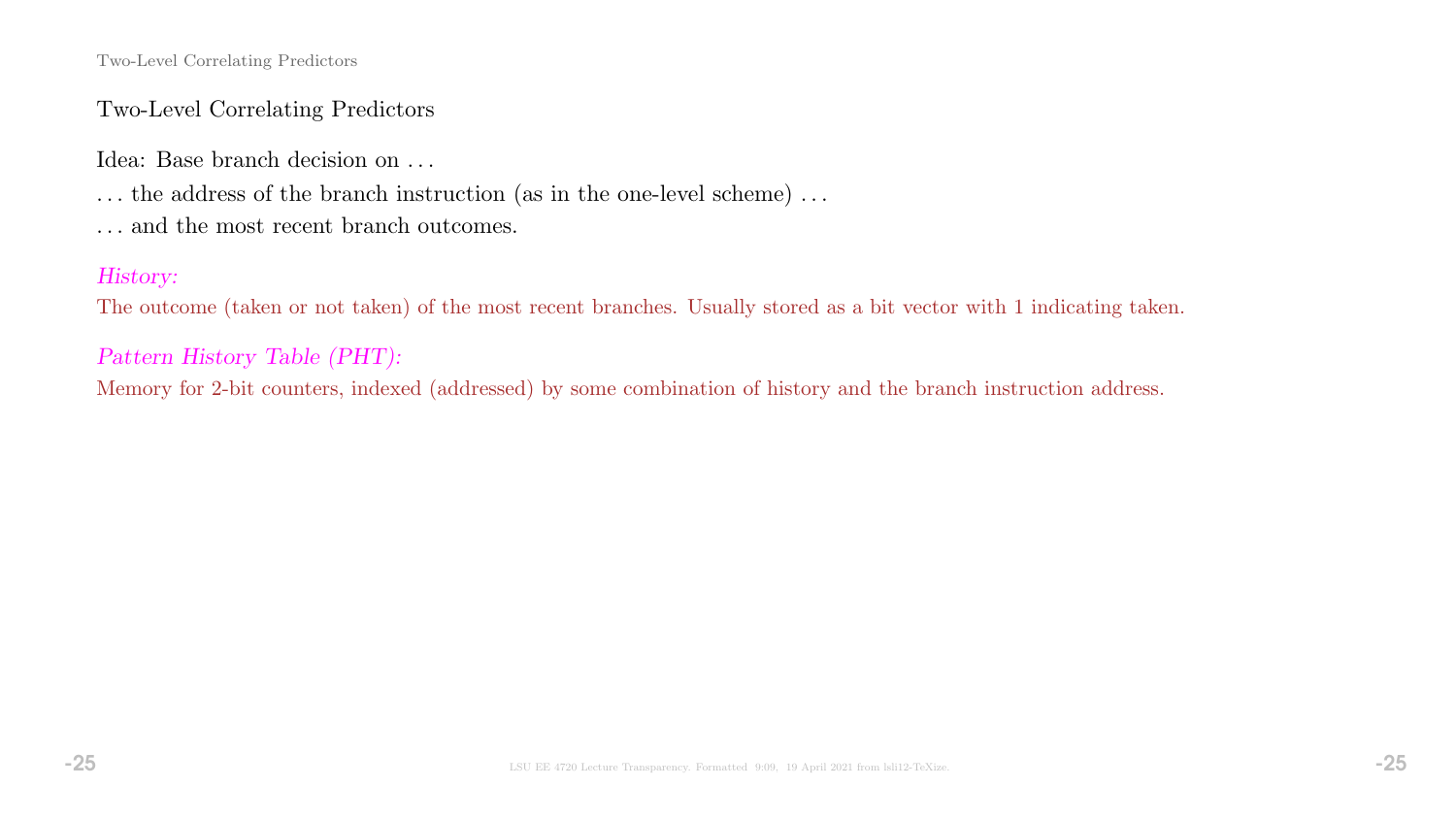Two-Level Correlating Predictors

# Two-Level Correlating Predictors

Idea: Base branch decision on . . .

- $\dots$  the address of the branch instruction (as in the one-level scheme)  $\dots$
- . . . and the most recent branch outcomes.

# History:

The outcome (taken or not taken) of the most recent branches. Usually stored as a bit vector with 1 indicating taken.

# Pattern History Table (PHT):

Memory for 2-bit counters, indexed (addressed) by some combination of history and the branch instruction address.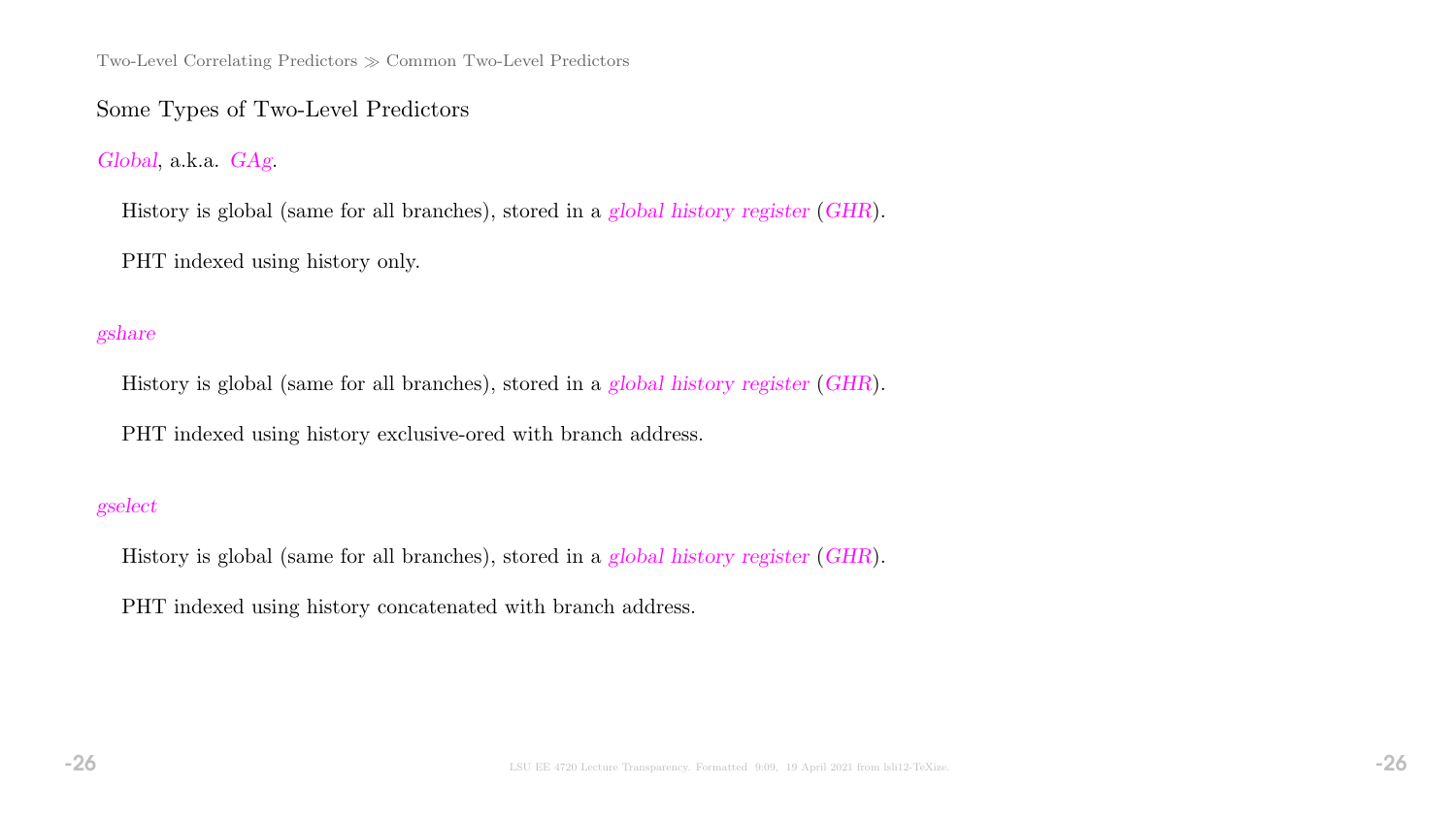Two-Level Correlating Predictors  $\gg$  Common Two-Level Predictors

### Some Types of Two-Level Predictors

Global, a.k.a. GAg.

History is global (same for all branches), stored in a global history register (GHR).

PHT indexed using history only.

#### gshare

History is global (same for all branches), stored in a global history register (GHR).

PHT indexed using history exclusive-ored with branch address.

#### gselect

History is global (same for all branches), stored in a global history register (GHR).

PHT indexed using history concatenated with branch address.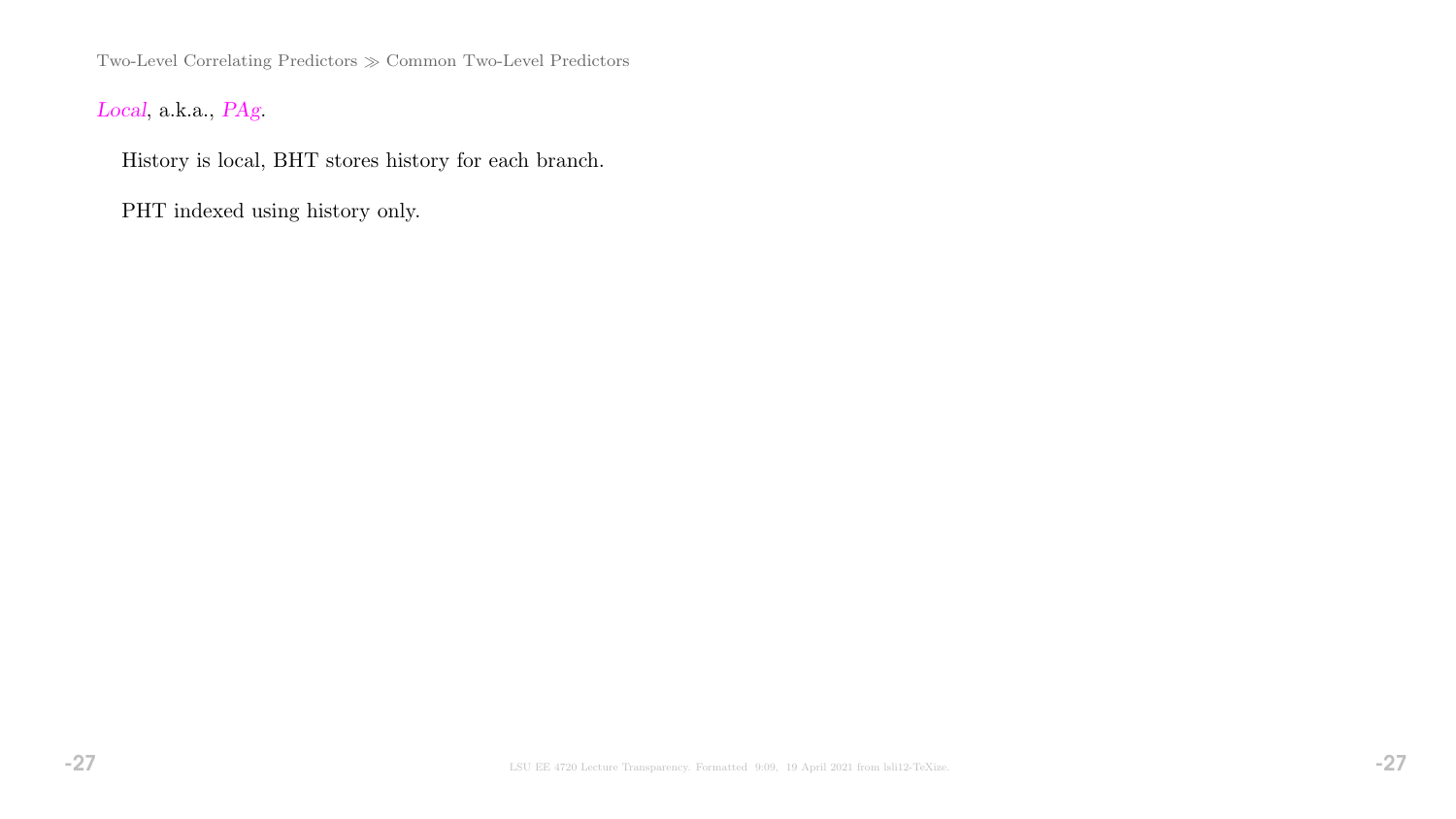Two-Level Correlating Predictors  $\gg$  Common Two-Level Predictors

Local, a.k.a., PAg.

History is local, BHT stores history for each branch.

PHT indexed using history only.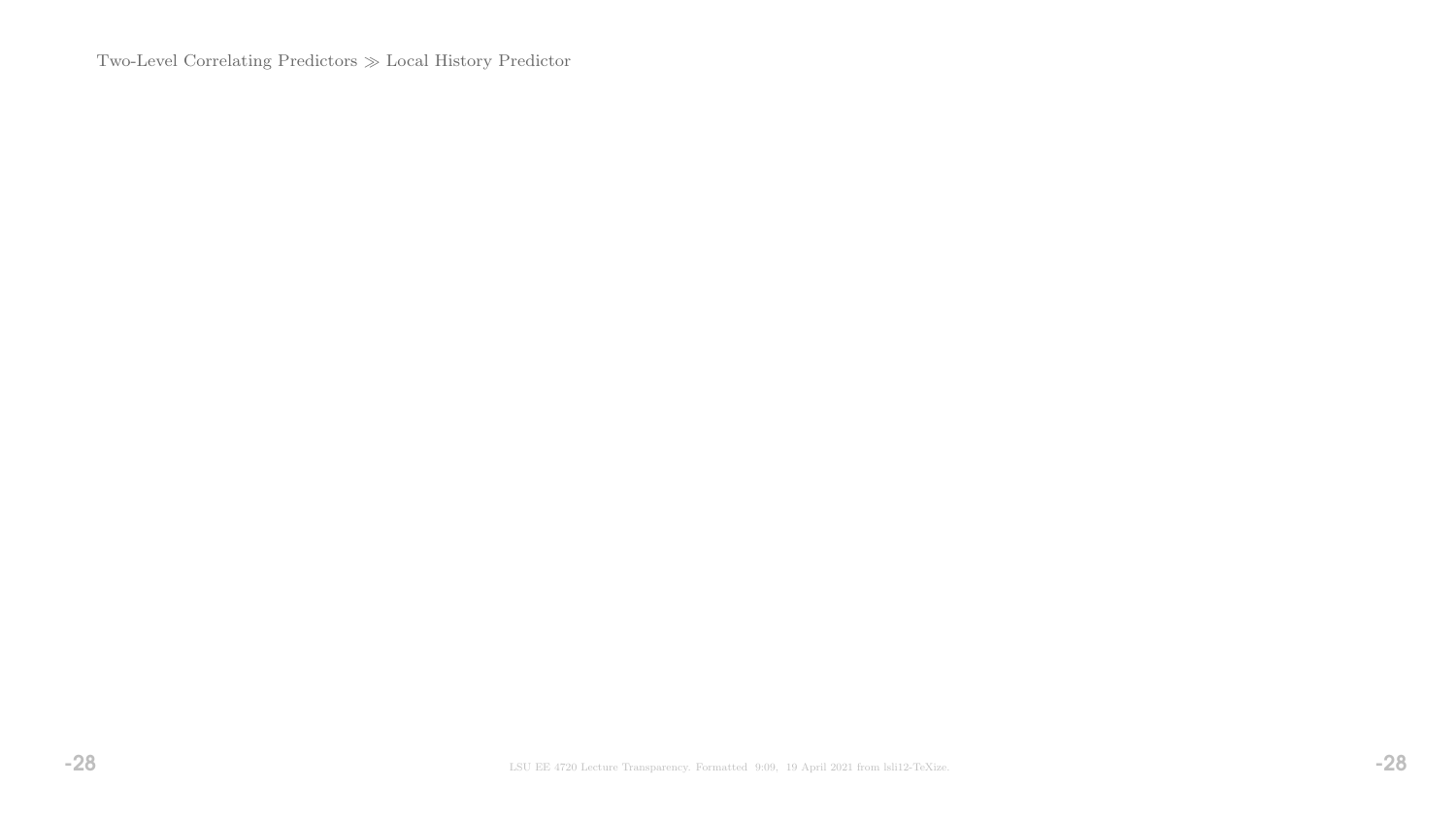Two-Level Correlating Predictors  $\gg$  Local History Predictor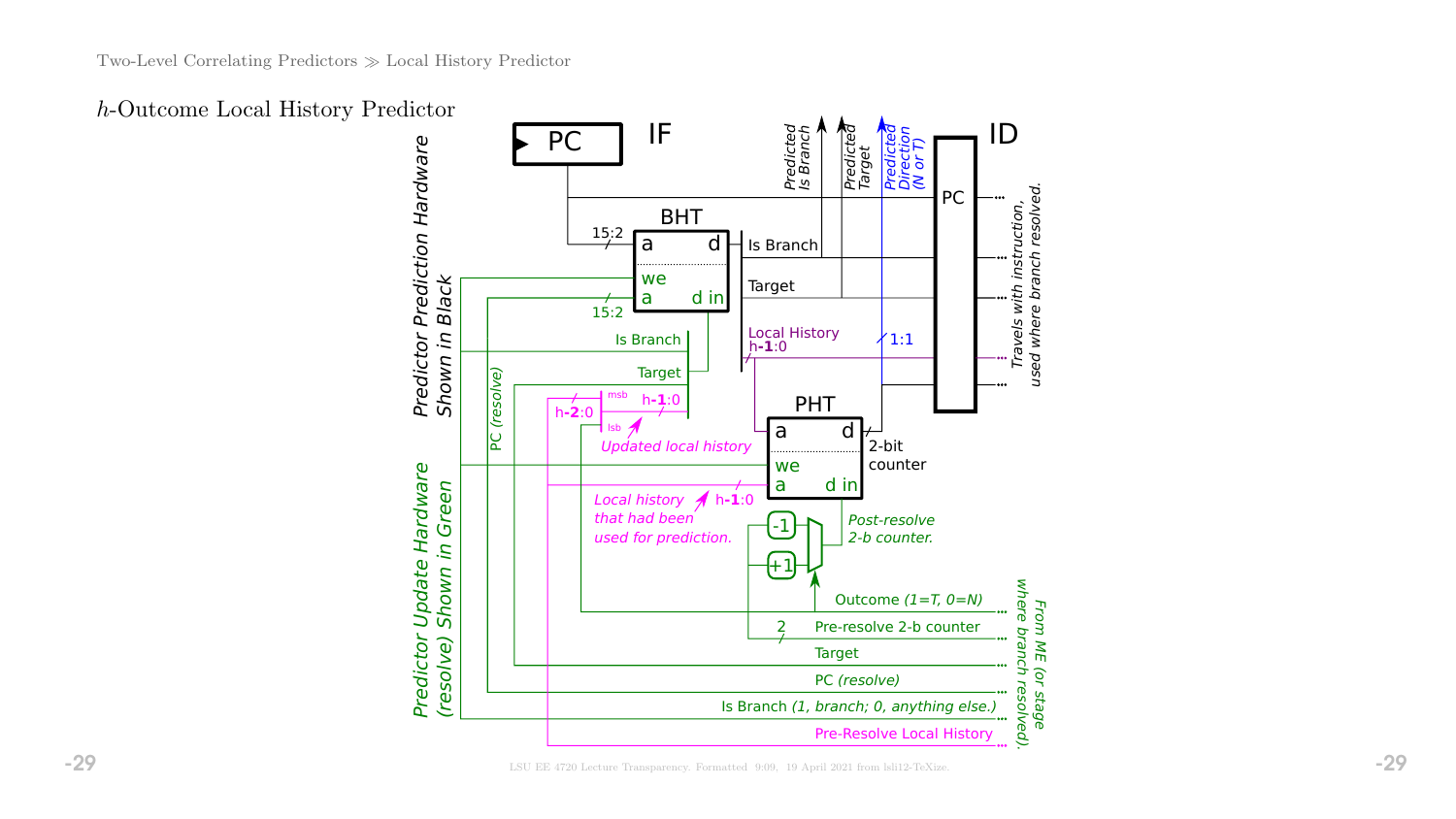### h-Outcome Local History Predictor

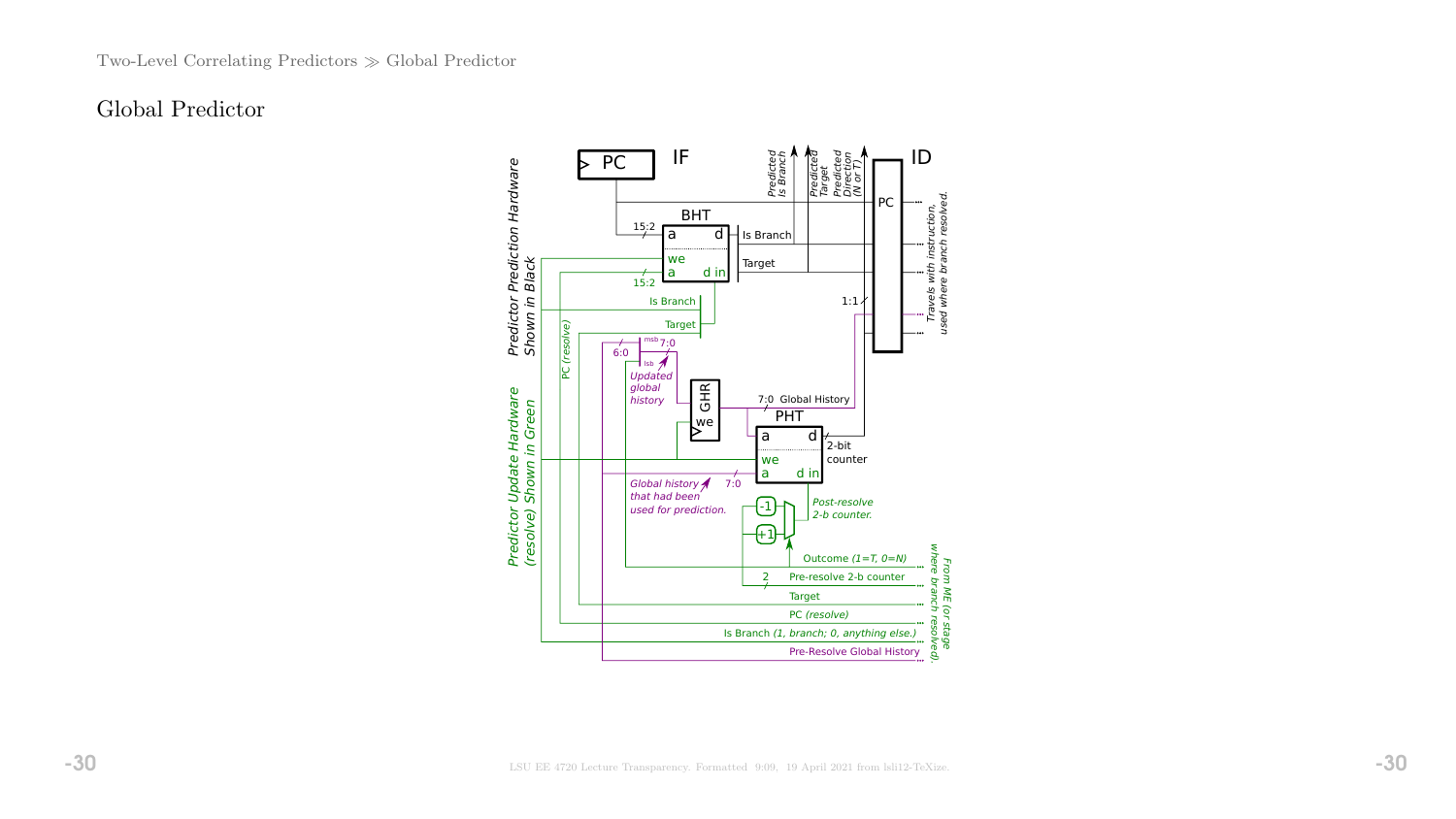## Global Predictor

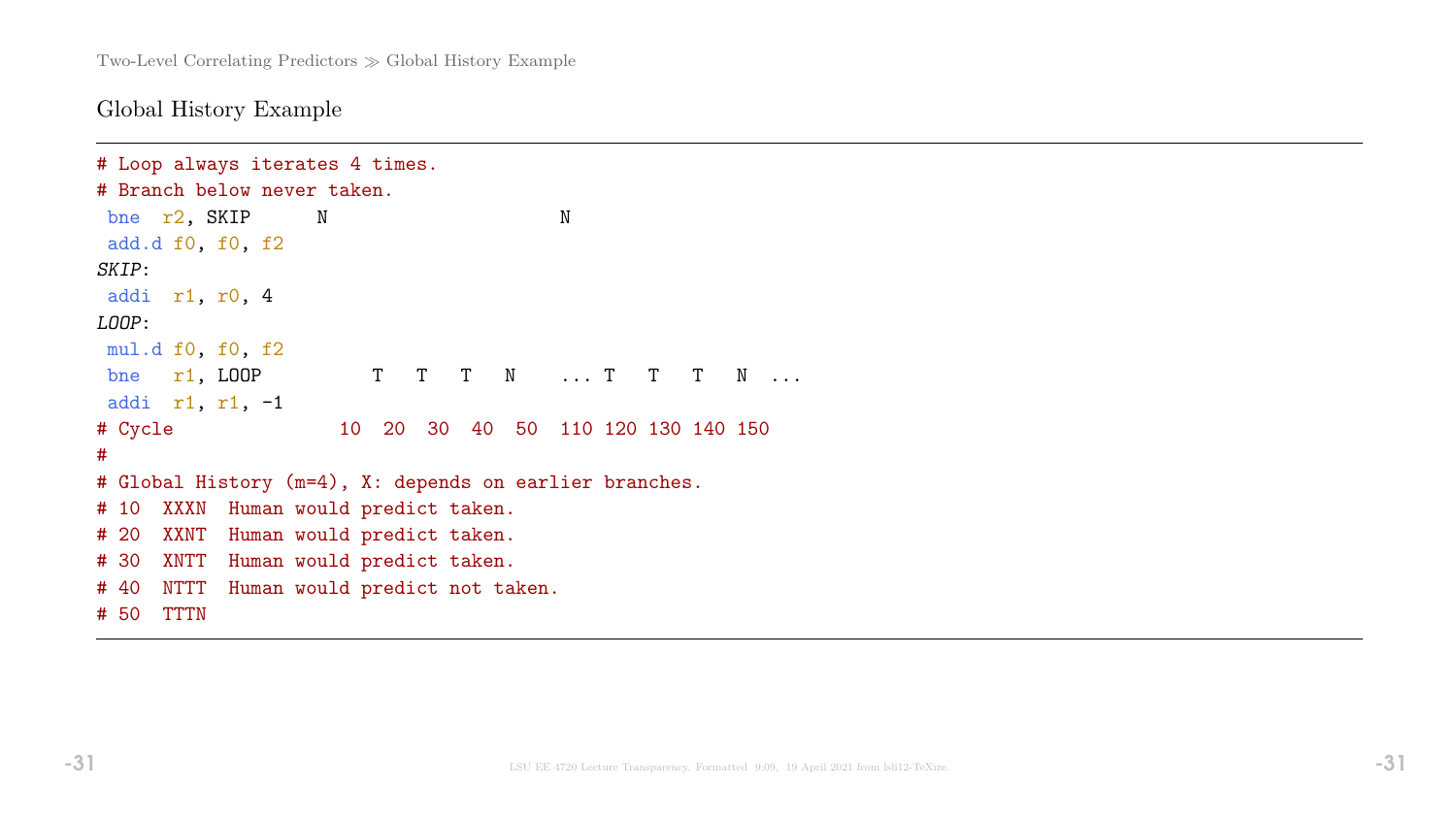Two-Level Correlating Predictors  $\gg$  Global History Example

#### Global History Example

```
# Loop always iterates 4 times.
# Branch below never taken.
bne r2, SKIP N N
add.d f0, f0, f2
SKIP:
addi r1, r0, 4
LOOP:
mul.d f0, f0, f2
bne r1, LOOP T T T N ... T T T N ...
addi r1, r1, -1
# Cycle 10 20 30 40 50 110 120 130 140 150
#
# Global History (m=4), X: depends on earlier branches.
# 10 XXXN Human would predict taken.
# 20 XXNT Human would predict taken.
# 30 XNTT Human would predict taken.
# 40 NTTT Human would predict not taken.
# 50 TTTN
```